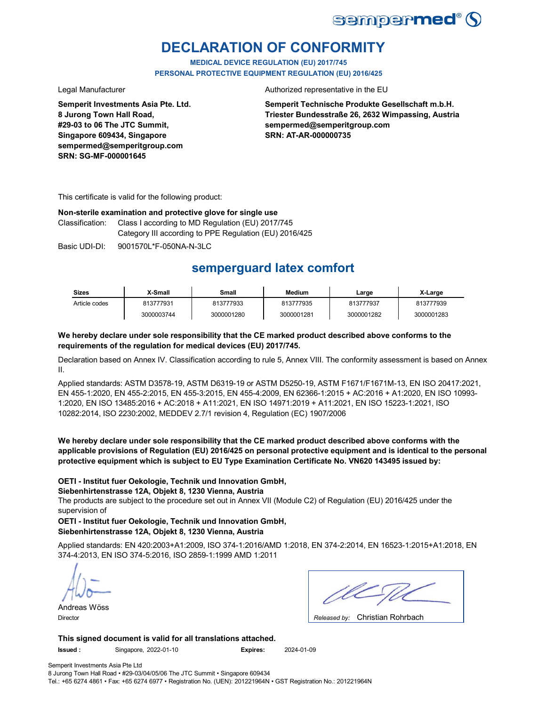

## **DECLARATION OF CONFORMITY**

**MEDICAL DEVICE REGULATION (EU) 2017/745 PERSONAL PROTECTIVE EQUIPMENT REGULATION (EU) 2016/425**

**Semperit Investments Asia Pte. Ltd. 8 Jurong Town Hall Road, #29-03 to 06 The JTC Summit, Singapore 609434, Singapore sempermed@semperitgroup.com SRN: SG-MF-000001645**

Legal Manufacturer **Authorized representative in the EU** 

**Semperit Technische Produkte Gesellschaft m.b.H. Triester Bundesstraße 26, 2632 Wimpassing, Austria sempermed@semperitgroup.com SRN: AT-AR-000000735**

This certificate is valid for the following product:

### **Non-sterile examination and protective glove for single use**

Class I according to MD Regulation (EU) 2017/745 Category III according to PPE Regulation (EU) 2016/425 Classification:

Basic UDI-DI: 9001570L\*F-050NA-N-3LC Basic 9001570L\*F-050NA-N-3LC

## **semperguard latex comfort**

| <b>Sizes</b>  | X-Small    | Small      | <b>Medium</b> | ∟arge      | X-Large    |
|---------------|------------|------------|---------------|------------|------------|
| Article codes | 813777931  | 813777933  | 813777935     | 813777937  | 813777939  |
|               | 3000003744 | 3000001280 | 3000001281    | 3000001282 | 3000001283 |

### **We hereby declare under sole responsibility that the CE marked product described above conforms to the requirements of the regulation for medical devices (EU) 2017/745.**

Declaration based on Annex IV. Classification according to rule 5, Annex VIII. The conformity assessment is based on Annex II.

Applied standards: ASTM D3578-19, ASTM D6319-19 or ASTM D5250-19, ASTM F1671/F1671M-13, EN ISO 20417:2021, EN 455-1:2020, EN 455-2:2015, EN 455-3:2015, EN 455-4:2009, EN 62366-1:2015 + AC:2016 + A1:2020, EN ISO 10993- 1:2020, EN ISO 13485:2016 + AC:2018 + A11:2021, EN ISO 14971:2019 + A11:2021, EN ISO 15223-1:2021, ISO 10282:2014, ISO 2230:2002, MEDDEV 2.7/1 revision 4, Regulation (EC) 1907/2006

**We hereby declare under sole responsibility that the CE marked product described above conforms with the applicable provisions of Regulation (EU) 2016/425 on personal protective equipment and is identical to the personal protective equipment which is subject to EU Type Examination Certificate No. VN620 143495 issued by:**

### **OETI - Institut fuer Oekologie, Technik und Innovation GmbH,**

### **Siebenhirtenstrasse 12A, Objekt 8, 1230 Vienna, Austria**

The products are subject to the procedure set out in Annex VII (Module C2) of Regulation (EU) 2016/425 under the supervision of

**OETI - Institut fuer Oekologie, Technik und Innovation GmbH, Siebenhirtenstrasse 12A, Objekt 8, 1230 Vienna, Austria**

Applied standards: EN 420:2003+A1:2009, ISO 374-1:2016/AMD 1:2018, EN 374-2:2014, EN 16523-1:2015+A1:2018, EN 374-4:2013, EN ISO 374-5:2016, ISO 2859-1:1999 AMD 1:2011

Andreas Wöss

Christian Rohrbach Director *Released by:* 

**This signed document is valid for all translations attached.**

**Issued :** Singapore, 2022-01-10 **Expires:** 2024-01-09

Semperit Investments Asia Pte Ltd

8 Jurong Town Hall Road • #29-03/04/05/06 The JTC Summit • Singapore 609434 Tel.: +65 6274 4861 • Fax: +65 6274 6977 • Registration No. (UEN): 201221964N • GST Registration No.: 201221964N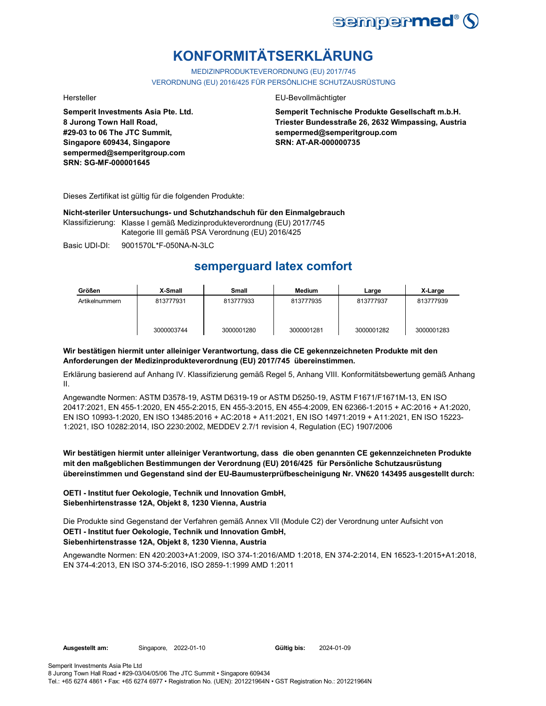

# **KONFORMITÄTSERKLÄRUNG**

MEDIZINPRODUKTEVERORDNUNG (EU) 2017/745 VERORDNUNG (EU) 2016/425 FÜR PERSÖNLICHE SCHUTZAUSRÜSTUNG

**Semperit Investments Asia Pte. Ltd. 8 Jurong Town Hall Road, #29-03 to 06 The JTC Summit, Singapore 609434, Singapore sempermed@semperitgroup.com SRN: SG-MF-000001645**

### Hersteller EU-Bevollmächtigter

**Semperit Technische Produkte Gesellschaft m.b.H. Triester Bundesstraße 26, 2632 Wimpassing, Austria sempermed@semperitgroup.com SRN: AT-AR-000000735**

Dieses Zertifikat ist gültig für die folgenden Produkte:

**Nicht-steriler Untersuchungs- und Schutzhandschuh für den Einmalgebrauch**

Klassifizierung: Klasse I gemäß Medizinprodukteverordnung (EU) 2017/745 Kategorie III gemäß PSA Verordnung (EU) 2016/425

Basic UDI-DI: 9001570L\*F-050NA-N-3LC 9001570L\*F-050NA-N-

## **semperguard latex comfort**

| Größen         | X-Small    | Small      | Medium     | Large      | X-Large    |
|----------------|------------|------------|------------|------------|------------|
| Artikelnummern | 813777931  | 813777933  | 813777935  | 813777937  | 813777939  |
|                | 3000003744 | 3000001280 | 3000001281 | 3000001282 | 3000001283 |

### **Wir bestätigen hiermit unter alleiniger Verantwortung, dass die CE gekennzeichneten Produkte mit den Anforderungen der Medizinprodukteverordnung (EU) 2017/745 übereinstimmen.**

Erklärung basierend auf Anhang IV. Klassifizierung gemäß Regel 5, Anhang VIII. Konformitätsbewertung gemäß Anhang II.

Angewandte Normen: ASTM D3578-19, ASTM D6319-19 or ASTM D5250-19, ASTM F1671/F1671M-13, EN ISO 20417:2021, EN 455-1:2020, EN 455-2:2015, EN 455-3:2015, EN 455-4:2009, EN 62366-1:2015 + AC:2016 + A1:2020, EN ISO 10993-1:2020, EN ISO 13485:2016 + AC:2018 + A11:2021, EN ISO 14971:2019 + A11:2021, EN ISO 15223- 1:2021, ISO 10282:2014, ISO 2230:2002, MEDDEV 2.7/1 revision 4, Regulation (EC) 1907/2006

**Wir bestätigen hiermit unter alleiniger Verantwortung, dass die oben genannten CE gekennzeichneten Produkte mit den maßgeblichen Bestimmungen der Verordnung (EU) 2016/425 für Persönliche Schutzausrüstung übereinstimmen und Gegenstand sind der EU-Baumusterprüfbescheinigung Nr. VN620 143495 ausgestellt durch:**

### **OETI - Institut fuer Oekologie, Technik und Innovation GmbH, Siebenhirtenstrasse 12A, Objekt 8, 1230 Vienna, Austria**

Die Produkte sind Gegenstand der Verfahren gemäß Annex VII (Module C2) der Verordnung unter Aufsicht von **OETI - Institut fuer Oekologie, Technik und Innovation GmbH, Siebenhirtenstrasse 12A, Objekt 8, 1230 Vienna, Austria**

Angewandte Normen: EN 420:2003+A1:2009, ISO 374-1:2016/AMD 1:2018, EN 374-2:2014, EN 16523-1:2015+A1:2018, EN 374-4:2013, EN ISO 374-5:2016, ISO 2859-1:1999 AMD 1:2011

Gültig bis: 2024-01-09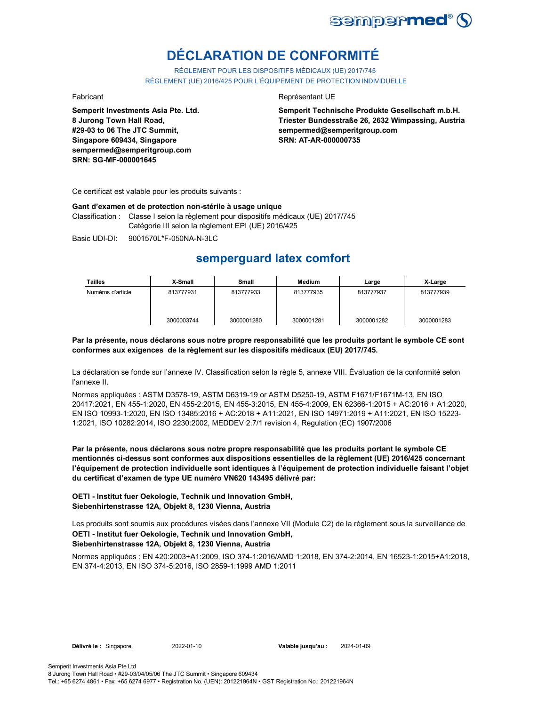

# **DÉCLARATION DE CONFORMITÉ**

RÈGLEMENT POUR LES DISPOSITIFS MÉDICAUX (UE) 2017/745 RÈGLEMENT (UE) 2016/425 POUR L'ÉQUIPEMENT DE PROTECTION INDIVIDUELLE

**Semperit Investments Asia Pte. Ltd. 8 Jurong Town Hall Road, #29-03 to 06 The JTC Summit, Singapore 609434, Singapore sempermed@semperitgroup.com SRN: SG-MF-000001645**

### Fabricant **Representant UE**

**Semperit Technische Produkte Gesellschaft m.b.H. Triester Bundesstraße 26, 2632 Wimpassing, Austria sempermed@semperitgroup.com SRN: AT-AR-000000735**

Ce certificat est valable pour les produits suivants :

#### **Gant d'examen et de protection non-stérile à usage unique**

Classification : Classe I selon la règlement pour dispositifs médicaux (UE) 2017/745 Catégorie III selon la règlement EPI (UE) 2016/425

Basic UDI-DI: 9001570L\*F-050NA-N-3LC 9001570L\*F-050NA-N

### **semperguard latex comfort**

| Tailles           | X-Small    | Small      | <b>Medium</b> | Large      | X-Large    |
|-------------------|------------|------------|---------------|------------|------------|
| Numéros d'article | 813777931  | 813777933  | 813777935     | 813777937  | 813777939  |
|                   | 3000003744 | 3000001280 | 3000001281    | 3000001282 | 3000001283 |

**Par la présente, nous déclarons sous notre propre responsabilité que les produits portant le symbole CE sont conformes aux exigences de la règlement sur les dispositifs médicaux (EU) 2017/745.**

La déclaration se fonde sur l'annexe IV. Classification selon la règle 5, annexe VIII. Évaluation de la conformité selon l'annexe II.

Normes appliquées : ASTM D3578-19, ASTM D6319-19 or ASTM D5250-19, ASTM F1671/F1671M-13, EN ISO 20417:2021, EN 455-1:2020, EN 455-2:2015, EN 455-3:2015, EN 455-4:2009, EN 62366-1:2015 + AC:2016 + A1:2020, EN ISO 10993-1:2020, EN ISO 13485:2016 + AC:2018 + A11:2021, EN ISO 14971:2019 + A11:2021, EN ISO 15223- 1:2021, ISO 10282:2014, ISO 2230:2002, MEDDEV 2.7/1 revision 4, Regulation (EC) 1907/2006

**Par la présente, nous déclarons sous notre propre responsabilité que les produits portant le symbole CE mentionnés ci-dessus sont conformes aux dispositions essentielles de la règlement (UE) 2016/425 concernant l'équipement de protection individuelle sont identiques à l'équipement de protection individuelle faisant l'objet du certificat d'examen de type UE numéro VN620 143495 délivré par:**

**OETI - Institut fuer Oekologie, Technik und Innovation GmbH, Siebenhirtenstrasse 12A, Objekt 8, 1230 Vienna, Austria**

Les produits sont soumis aux procédures visées dans l'annexe VII (Module C2) de la règlement sous la surveillance de **OETI - Institut fuer Oekologie, Technik und Innovation GmbH, Siebenhirtenstrasse 12A, Objekt 8, 1230 Vienna, Austria**

Normes appliquées : EN 420:2003+A1:2009, ISO 374-1:2016/AMD 1:2018, EN 374-2:2014, EN 16523-1:2015+A1:2018, EN 374-4:2013, EN ISO 374-5:2016, ISO 2859-1:1999 AMD 1:2011

**Délivré le :** Singapore, 2022-01-10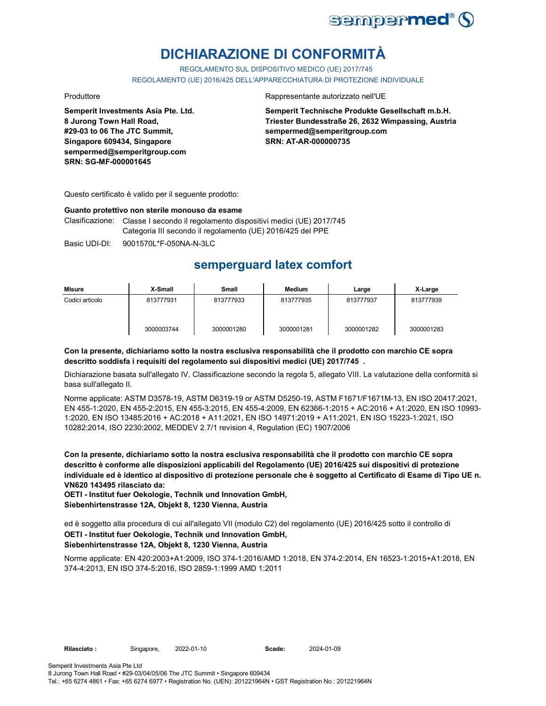

# **DICHIARAZIONE DI CONFORMITÀ**

REGOLAMENTO SUL DISPOSITIVO MEDICO (UE) 2017/745

REGOLAMENTO (UE) 2016/425 DELL'APPARECCHIATURA DI PROTEZIONE INDIVIDUALE

**Semperit Investments Asia Pte. Ltd. 8 Jurong Town Hall Road, #29-03 to 06 The JTC Summit, Singapore 609434, Singapore sempermed@semperitgroup.com SRN: SG-MF-000001645**

### Produttore Rappresentante autorizzato nell'UE

**Semperit Technische Produkte Gesellschaft m.b.H. Triester Bundesstraße 26, 2632 Wimpassing, Austria sempermed@semperitgroup.com SRN: AT-AR-000000735**

Questo certificato è valido per il seguente prodotto:

### **Guanto protettivo non sterile monouso da esame**

Clasificazione: Classe I secondo il regolamento dispositivi medici (UE) 2017/745 Categoria III secondo il regolamento (UE) 2016/425 del PPE

Basic UDI-DI: 9001570L\*F-050NA-N-3LC 9001570L\*F-050NA-N-3L

### **semperguard latex comfort**

| Misure          | X-Small    | Small      | Medium     | Large      | X-Large    |
|-----------------|------------|------------|------------|------------|------------|
| Codici articolo | 813777931  | 813777933  | 813777935  | 813777937  | 813777939  |
|                 | 3000003744 | 3000001280 | 3000001281 | 3000001282 | 3000001283 |

### **Con la presente, dichiariamo sotto la nostra esclusiva responsabilità che il prodotto con marchio CE sopra descritto soddisfa i requisiti del regolamento sui dispositivi medici (UE) 2017/745 .**

Dichiarazione basata sull'allegato IV. Classificazione secondo la regola 5, allegato VIII. La valutazione della conformità si basa sull'allegato II.

Norme applicate: ASTM D3578-19, ASTM D6319-19 or ASTM D5250-19, ASTM F1671/F1671M-13, EN ISO 20417:2021, EN 455-1:2020, EN 455-2:2015, EN 455-3:2015, EN 455-4:2009, EN 62366-1:2015 + AC:2016 + A1:2020, EN ISO 10993- 1:2020, EN ISO 13485:2016 + AC:2018 + A11:2021, EN ISO 14971:2019 + A11:2021, EN ISO 15223-1:2021, ISO 10282:2014, ISO 2230:2002, MEDDEV 2.7/1 revision 4, Regulation (EC) 1907/2006

**Con la presente, dichiariamo sotto la nostra esclusiva responsabilità che il prodotto con marchio CE sopra descritto è conforme alle disposizioni applicabili del Regolamento (UE) 2016/425 sui dispositivi di protezione individuale ed è identico al dispositivo di protezione personale che è soggetto al Certificato di Esame di Tipo UE n. VN620 143495 rilasciato da:**

**OETI - Institut fuer Oekologie, Technik und Innovation GmbH, Siebenhirtenstrasse 12A, Objekt 8, 1230 Vienna, Austria**

ed è soggetto alla procedura di cui all'allegato VII (modulo C2) del regolamento (UE) 2016/425 sotto il controllo di **OETI - Institut fuer Oekologie, Technik und Innovation GmbH,** 

### **Siebenhirtenstrasse 12A, Objekt 8, 1230 Vienna, Austria**

Norme applicate: EN 420:2003+A1:2009, ISO 374-1:2016/AMD 1:2018, EN 374-2:2014, EN 16523-1:2015+A1:2018, EN 374-4:2013, EN ISO 374-5:2016, ISO 2859-1:1999 AMD 1:2011

2022-01-10 2024-01-09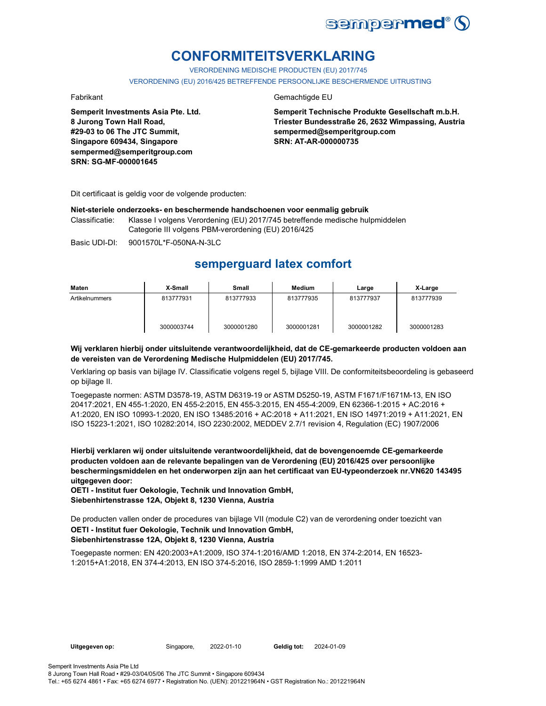

## **CONFORMITEITSVERKLARING**

VERORDENING MEDISCHE PRODUCTEN (EU) 2017/745

VERORDENING (EU) 2016/425 BETREFFENDE PERSOONLIJKE BESCHERMENDE UITRUSTING

**Semperit Investments Asia Pte. Ltd. 8 Jurong Town Hall Road, #29-03 to 06 The JTC Summit, Singapore 609434, Singapore sempermed@semperitgroup.com SRN: SG-MF-000001645**

### Fabrikant Gemachtigde EU

**Semperit Technische Produkte Gesellschaft m.b.H. Triester Bundesstraße 26, 2632 Wimpassing, Austria sempermed@semperitgroup.com SRN: AT-AR-000000735**

Dit certificaat is geldig voor de volgende producten:

### **Niet-steriele onderzoeks- en beschermende handschoenen voor eenmalig gebruik**

Classificatie: Klasse I volgens Verordening (EU) 2017/745 betreffende medische hulpmiddelen Categorie III volgens PBM-verordening (EU) 2016/425

Basic UDI-DI: 9001570L\*F-050NA-N-3LC

### **semperguard latex comfort**

| Maten          | X-Small    | Small      | Medium     | Large      | X-Large    |
|----------------|------------|------------|------------|------------|------------|
| Artikelnummers | 813777931  | 813777933  | 813777935  | 813777937  | 813777939  |
|                | 3000003744 | 3000001280 | 3000001281 | 3000001282 | 3000001283 |

### **Wij verklaren hierbij onder uitsluitende verantwoordelijkheid, dat de CE-gemarkeerde producten voldoen aan de vereisten van de Verordening Medische Hulpmiddelen (EU) 2017/745.**

Verklaring op basis van bijlage IV. Classificatie volgens regel 5, bijlage VIII. De conformiteitsbeoordeling is gebaseerd op bijlage II.

Toegepaste normen: ASTM D3578-19, ASTM D6319-19 or ASTM D5250-19, ASTM F1671/F1671M-13, EN ISO 20417:2021, EN 455-1:2020, EN 455-2:2015, EN 455-3:2015, EN 455-4:2009, EN 62366-1:2015 + AC:2016 + A1:2020, EN ISO 10993-1:2020, EN ISO 13485:2016 + AC:2018 + A11:2021, EN ISO 14971:2019 + A11:2021, EN ISO 15223-1:2021, ISO 10282:2014, ISO 2230:2002, MEDDEV 2.7/1 revision 4, Regulation (EC) 1907/2006

**Hierbij verklaren wij onder uitsluitende verantwoordelijkheid, dat de bovengenoemde CE-gemarkeerde producten voldoen aan de relevante bepalingen van de Verordening (EU) 2016/425 over persoonlijke beschermingsmiddelen en het onderworpen zijn aan het certificaat van EU-typeonderzoek nr.VN620 143495 uitgegeven door:**

**OETI - Institut fuer Oekologie, Technik und Innovation GmbH, Siebenhirtenstrasse 12A, Objekt 8, 1230 Vienna, Austria**

De producten vallen onder de procedures van bijlage VII (module C2) van de verordening onder toezicht van **OETI - Institut fuer Oekologie, Technik und Innovation GmbH, Siebenhirtenstrasse 12A, Objekt 8, 1230 Vienna, Austria**

Toegepaste normen: EN 420:2003+A1:2009, ISO 374-1:2016/AMD 1:2018, EN 374-2:2014, EN 16523- 1:2015+A1:2018, EN 374-4:2013, EN ISO 374-5:2016, ISO 2859-1:1999 AMD 1:2011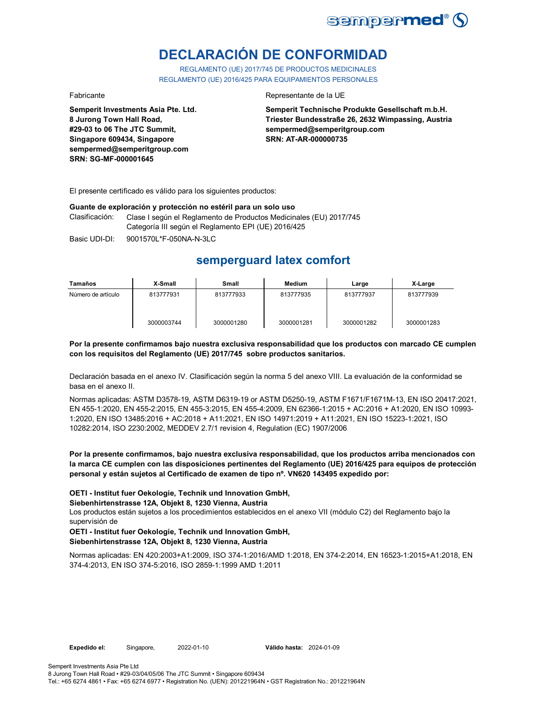

# **DECLARACIÓN DE CONFORMIDAD**

REGLAMENTO (UE) 2017/745 DE PRODUCTOS MEDICINALES REGLAMENTO (UE) 2016/425 PARA EQUIPAMIENTOS PERSONALES

**Semperit Investments Asia Pte. Ltd. 8 Jurong Town Hall Road, #29-03 to 06 The JTC Summit, Singapore 609434, Singapore sempermed@semperitgroup.com SRN: SG-MF-000001645**

### Fabricante Representante de la UE

**Semperit Technische Produkte Gesellschaft m.b.H. Triester Bundesstraße 26, 2632 Wimpassing, Austria sempermed@semperitgroup.com SRN: AT-AR-000000735**

El presente certificado es válido para los siguientes productos:

### **Guante de exploración y protección no estéril para un solo uso**

Clasificación: Clase I según el Reglamento de Productos Medicinales (EU) 2017/745 Categoría III según el Reglamento EPI (UE) 2016/425

Basic UDI-DI: 9001570L\*F-050NA-N-3LC 9001570L\*F-050NA-N-3L

## **semperguard latex comfort**

| Tamaños            | X-Small    | Small      | Medium     | Large      | X-Large    |
|--------------------|------------|------------|------------|------------|------------|
| Número de artículo | 813777931  | 813777933  | 813777935  | 813777937  | 813777939  |
|                    | 3000003744 | 3000001280 | 3000001281 | 3000001282 | 3000001283 |

### **Por la presente confirmamos bajo nuestra exclusiva responsabilidad que los productos con marcado CE cumplen con los requisitos del Reglamento (UE) 2017/745 sobre productos sanitarios.**

Declaración basada en el anexo IV. Clasificación según la norma 5 del anexo VIII. La evaluación de la conformidad se basa en el anexo II.

Normas aplicadas: ASTM D3578-19, ASTM D6319-19 or ASTM D5250-19, ASTM F1671/F1671M-13, EN ISO 20417:2021, EN 455-1:2020, EN 455-2:2015, EN 455-3:2015, EN 455-4:2009, EN 62366-1:2015 + AC:2016 + A1:2020, EN ISO 10993- 1:2020, EN ISO 13485:2016 + AC:2018 + A11:2021, EN ISO 14971:2019 + A11:2021, EN ISO 15223-1:2021, ISO 10282:2014, ISO 2230:2002, MEDDEV 2.7/1 revision 4, Regulation (EC) 1907/2006

**Por la presente confirmamos, bajo nuestra exclusiva responsabilidad, que los productos arriba mencionados con la marca CE cumplen con las disposiciones pertinentes del Reglamento (UE) 2016/425 para equipos de protección personal y están sujetos al Certificado de examen de tipo nº. VN620 143495 expedido por:**

**OETI - Institut fuer Oekologie, Technik und Innovation GmbH,** 

**Siebenhirtenstrasse 12A, Objekt 8, 1230 Vienna, Austria**

Los productos están sujetos a los procedimientos establecidos en el anexo VII (módulo C2) del Reglamento bajo la supervisión de

### **OETI - Institut fuer Oekologie, Technik und Innovation GmbH, Siebenhirtenstrasse 12A, Objekt 8, 1230 Vienna, Austria**

Normas aplicadas: EN 420:2003+A1:2009, ISO 374-1:2016/AMD 1:2018, EN 374-2:2014, EN 16523-1:2015+A1:2018, EN 374-4:2013, EN ISO 374-5:2016, ISO 2859-1:1999 AMD 1:2011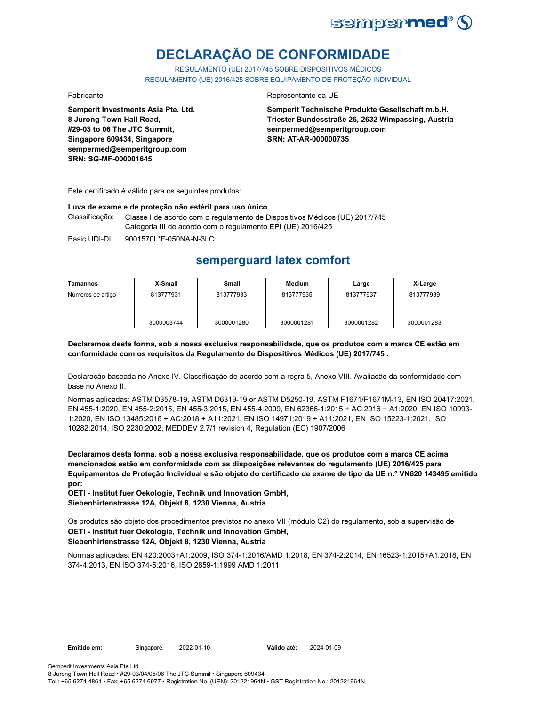

# **DECLARAÇÃO DE CONFORMIDADE**

REGULAMENTO (UE) 2017/745 SOBRE DISPOSITIVOS MÉDICOS REGULAMENTO (UE) 2016/425 SOBRE EQUIPAMENTO DE PROTEÇÃO INDIVIDUAL

**Semperit Investments Asia Pte. Ltd. 8 Jurong Town Hall Road, #29-03 to 06 The JTC Summit, Singapore 609434, Singapore sempermed@semperitgroup.com SRN: SG-MF-000001645**

### Fabricante Representante da UE

**Semperit Technische Produkte Gesellschaft m.b.H. Triester Bundesstraße 26, 2632 Wimpassing, Austria sempermed@semperitgroup.com SRN: AT-AR-000000735**

Este certificado é válido para os seguintes produtos:

#### **Luva de exame e de proteção não estéril para uso único**

Classificação: Classe I de acordo com o regulamento de Dispositivos Médicos (UE) 2017/745 Categoria III de acordo com o regulamento EPI (UE) 2016/425

Basic UDI-DI: 9001570L\*F-050NA-N-3LC 9001570L\*F-050NA-N-3L

## **semperguard latex comfort**

| Tamanhos          | X-Small    | Small      | <b>Medium</b> | Large      | X-Large    |
|-------------------|------------|------------|---------------|------------|------------|
| Números de artigo | 813777931  | 813777933  | 813777935     | 813777937  | 813777939  |
|                   | 3000003744 | 3000001280 | 3000001281    | 3000001282 | 3000001283 |

**Declaramos desta forma, sob a nossa exclusiva responsabilidade, que os produtos com a marca CE estão em conformidade com os requisitos da Regulamento de Dispositivos Médicos (UE) 2017/745 .**

Declaração baseada no Anexo IV. Classificação de acordo com a regra 5, Anexo VIII. Avaliação da conformidade com base no Anexo II.

Normas aplicadas: ASTM D3578-19, ASTM D6319-19 or ASTM D5250-19, ASTM F1671/F1671M-13, EN ISO 20417:2021, EN 455-1:2020, EN 455-2:2015, EN 455-3:2015, EN 455-4:2009, EN 62366-1:2015 + AC:2016 + A1:2020, EN ISO 10993- 1:2020, EN ISO 13485:2016 + AC:2018 + A11:2021, EN ISO 14971:2019 + A11:2021, EN ISO 15223-1:2021, ISO 10282:2014, ISO 2230:2002, MEDDEV 2.7/1 revision 4, Regulation (EC) 1907/2006

**Declaramos desta forma, sob a nossa exclusiva responsabilidade, que os produtos com a marca CE acima mencionados estão em conformidade com as disposições relevantes do regulamento (UE) 2016/425 para Equipamentos de Proteção Individual e são objeto do certificado de exame de tipo da UE n.º VN620 143495 emitido por:**

**OETI - Institut fuer Oekologie, Technik und Innovation GmbH, Siebenhirtenstrasse 12A, Objekt 8, 1230 Vienna, Austria**

Os produtos são objeto dos procedimentos previstos no anexo VII (módulo C2) do regulamento, sob a supervisão de **OETI - Institut fuer Oekologie, Technik und Innovation GmbH, Siebenhirtenstrasse 12A, Objekt 8, 1230 Vienna, Austria**

Normas aplicadas: EN 420:2003+A1:2009, ISO 374-1:2016/AMD 1:2018, EN 374-2:2014, EN 16523-1:2015+A1:2018, EN 374-4:2013, EN ISO 374-5:2016, ISO 2859-1:1999 AMD 1:2011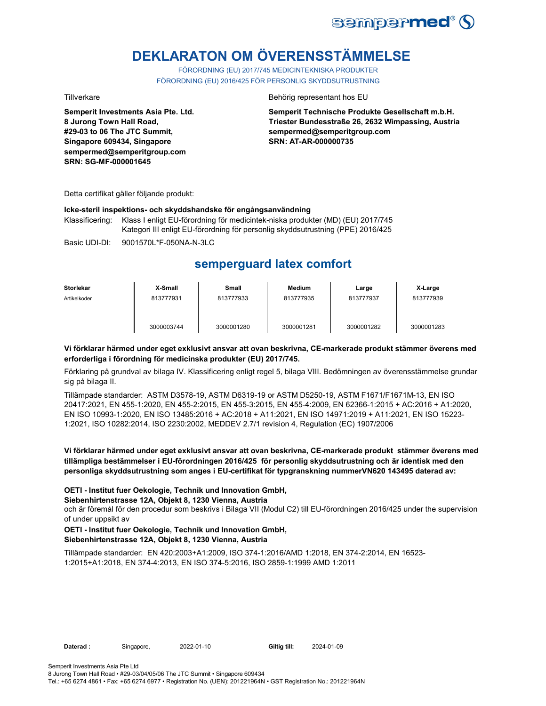

# **DEKLARATON OM ÖVERENSSTÄMMELSE**

FÖRORDNING (EU) 2017/745 MEDICINTEKNISKA PRODUKTER FÖRORDNING (EU) 2016/425 FÖR PERSONLIG SKYDDSUTRUSTNING

**Semperit Investments Asia Pte. Ltd. 8 Jurong Town Hall Road, #29-03 to 06 The JTC Summit, Singapore 609434, Singapore sempermed@semperitgroup.com SRN: SG-MF-000001645**

Tillverkare Behörig representant hos EU

**Semperit Technische Produkte Gesellschaft m.b.H. Triester Bundesstraße 26, 2632 Wimpassing, Austria sempermed@semperitgroup.com SRN: AT-AR-000000735**

Detta certifikat gäller följande produkt:

### **Icke-steril inspektions- och skyddshandske för engångsanvändning**

Klassificering: Klass I enligt EU-förordning för medicintek-niska produkter (MD) (EU) 2017/745 Kategori III enligt EU-förordning för personlig skyddsutrustning (PPE) 2016/425

Basic UDI-DI: 9001570L\*F-050NA-N-3LC 9001570L\*F-050NA-N-3L

### **semperguard latex comfort**

| <b>Storlekar</b> | X-Small    | Small      | Medium     | Large      | X-Large    |
|------------------|------------|------------|------------|------------|------------|
| Artikelkoder     | 813777931  | 813777933  | 813777935  | 813777937  | 813777939  |
|                  | 3000003744 | 3000001280 | 3000001281 | 3000001282 | 3000001283 |

### **Vi förklarar härmed under eget exklusivt ansvar att ovan beskrivna, CE-markerade produkt stämmer överens med erforderliga i förordning för medicinska produkter (EU) 2017/745.**

Förklaring på grundval av bilaga IV. Klassificering enligt regel 5, bilaga VIII. Bedömningen av överensstämmelse grundar sig på bilaga II.

Tillämpade standarder: ASTM D3578-19, ASTM D6319-19 or ASTM D5250-19, ASTM F1671/F1671M-13, EN ISO 20417:2021, EN 455-1:2020, EN 455-2:2015, EN 455-3:2015, EN 455-4:2009, EN 62366-1:2015 + AC:2016 + A1:2020, EN ISO 10993-1:2020, EN ISO 13485:2016 + AC:2018 + A11:2021, EN ISO 14971:2019 + A11:2021, EN ISO 15223- 1:2021, ISO 10282:2014, ISO 2230:2002, MEDDEV 2.7/1 revision 4, Regulation (EC) 1907/2006

### **Vi förklarar härmed under eget exklusivt ansvar att ovan beskrivna, CE-markerade produkt stämmer överens med tillämpliga bestämmelser i EU-förordningen 2016/425 för personlig skyddsutrustning och är identisk med den personliga skyddsutrustning som anges i EU-certifikat för typgranskning nummerVN620 143495 daterad av:**

### **OETI - Institut fuer Oekologie, Technik und Innovation GmbH,**

### **Siebenhirtenstrasse 12A, Objekt 8, 1230 Vienna, Austria**

och är föremål för den procedur som beskrivs i Bilaga VII (Modul C2) till EU-förordningen 2016/425 under the supervision of under uppsikt av

### **OETI - Institut fuer Oekologie, Technik und Innovation GmbH, Siebenhirtenstrasse 12A, Objekt 8, 1230 Vienna, Austria**

Tillämpade standarder: EN 420:2003+A1:2009, ISO 374-1:2016/AMD 1:2018, EN 374-2:2014, EN 16523- 1:2015+A1:2018, EN 374-4:2013, EN ISO 374-5:2016, ISO 2859-1:1999 AMD 1:2011

Daterad : Singapore, 2022-01-10 **Giltig till:** 

2024-01-09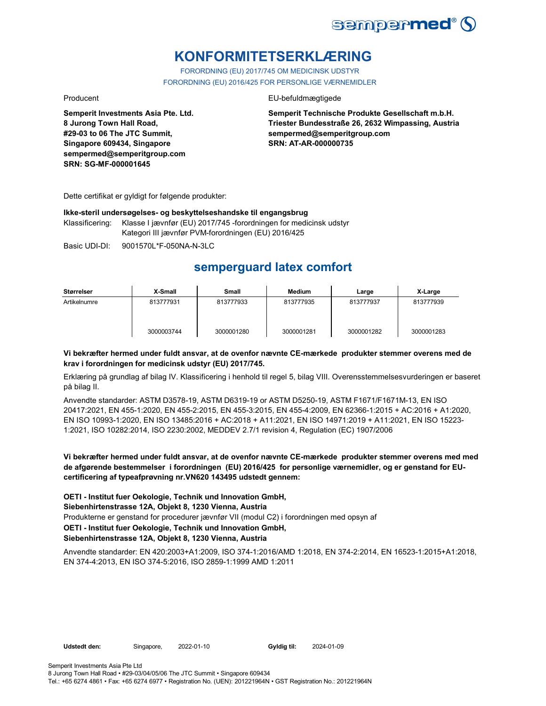

## **KONFORMITETSERKLÆRING**

FORORDNING (EU) 2017/745 OM MEDICINSK UDSTYR FORORDNING (EU) 2016/425 FOR PERSONLIGE VÆRNEMIDLER

**Semperit Investments Asia Pte. Ltd. 8 Jurong Town Hall Road, #29-03 to 06 The JTC Summit, Singapore 609434, Singapore sempermed@semperitgroup.com SRN: SG-MF-000001645**

### Producent EU-befuldmægtigede

**Semperit Technische Produkte Gesellschaft m.b.H. Triester Bundesstraße 26, 2632 Wimpassing, Austria sempermed@semperitgroup.com SRN: AT-AR-000000735**

Dette certifikat er gyldigt for følgende produkter:

### **Ikke-steril undersøgelses- og beskyttelseshandske til engangsbrug**

Klassificering: Klasse I jævnfør (EU) 2017/745 -forordningen for medicinsk udstyr Kategori III jævnfør PVM-forordningen (EU) 2016/425

Basic UDI-DI: 9001570L\*F-050NA-N-3LC 9001570L\*F-050NA-N-3L

## **semperguard latex comfort**

| Størrelser   | X-Small    | Small      | Medium     | Large      | X-Large    |
|--------------|------------|------------|------------|------------|------------|
| Artikelnumre | 813777931  | 813777933  | 813777935  | 813777937  | 813777939  |
|              | 3000003744 | 3000001280 | 3000001281 | 3000001282 | 3000001283 |

### **Vi bekræfter hermed under fuldt ansvar, at de ovenfor nævnte CE-mærkede produkter stemmer overens med de krav i forordningen for medicinsk udstyr (EU) 2017/745.**

Erklæring på grundlag af bilag IV. Klassificering i henhold til regel 5, bilag VIII. Overensstemmelsesvurderingen er baseret på bilag II.

Anvendte standarder: ASTM D3578-19, ASTM D6319-19 or ASTM D5250-19, ASTM F1671/F1671M-13, EN ISO 20417:2021, EN 455-1:2020, EN 455-2:2015, EN 455-3:2015, EN 455-4:2009, EN 62366-1:2015 + AC:2016 + A1:2020, EN ISO 10993-1:2020, EN ISO 13485:2016 + AC:2018 + A11:2021, EN ISO 14971:2019 + A11:2021, EN ISO 15223- 1:2021, ISO 10282:2014, ISO 2230:2002, MEDDEV 2.7/1 revision 4, Regulation (EC) 1907/2006

### **Vi bekræfter hermed under fuldt ansvar, at de ovenfor nævnte CE-mærkede produkter stemmer overens med med de afgørende bestemmelser i forordningen (EU) 2016/425 for personlige værnemidler, og er genstand for EUcertificering af typeafprøvning nr.VN620 143495 udstedt gennem:**

**OETI - Institut fuer Oekologie, Technik und Innovation GmbH,** 

### **Siebenhirtenstrasse 12A, Objekt 8, 1230 Vienna, Austria**

Produkterne er genstand for procedurer jævnfør VII (modul C2) i forordningen med opsyn af

### **OETI - Institut fuer Oekologie, Technik und Innovation GmbH,**

### **Siebenhirtenstrasse 12A, Objekt 8, 1230 Vienna, Austria**

Anvendte standarder: EN 420:2003+A1:2009, ISO 374-1:2016/AMD 1:2018, EN 374-2:2014, EN 16523-1:2015+A1:2018, EN 374-4:2013, EN ISO 374-5:2016, ISO 2859-1:1999 AMD 1:2011

Udstedt den: Singapore, 2022-01-10

Gyldig til: 2024-01-09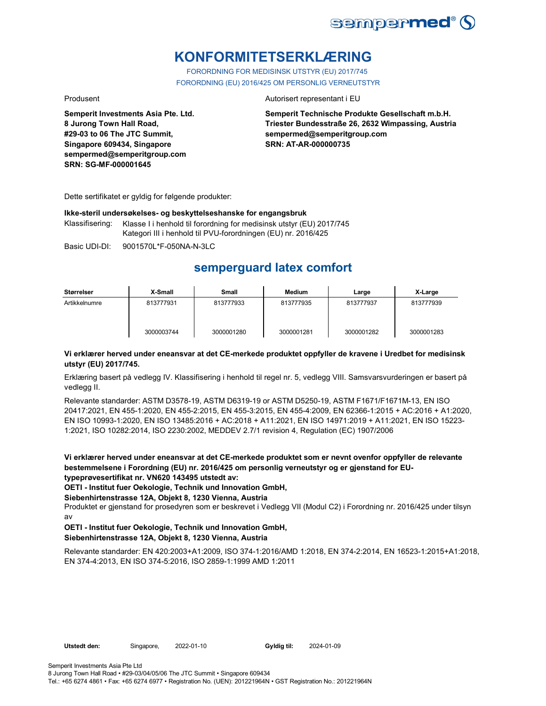

## **KONFORMITETSERKLÆRING**

FORORDNING FOR MEDISINSK UTSTYR (EU) 2017/745 FORORDNING (EU) 2016/425 OM PERSONLIG VERNEUTSTYR

**Semperit Investments Asia Pte. Ltd. 8 Jurong Town Hall Road, #29-03 to 06 The JTC Summit, Singapore 609434, Singapore sempermed@semperitgroup.com SRN: SG-MF-000001645**

### Produsent **Autorisert representant i EU**

**Semperit Technische Produkte Gesellschaft m.b.H. Triester Bundesstraße 26, 2632 Wimpassing, Austria sempermed@semperitgroup.com SRN: AT-AR-000000735**

Dette sertifikatet er gyldig for følgende produkter:

### **Ikke-steril undersøkelses- og beskyttelseshanske for engangsbruk**

Klassifisering: Klasse I i henhold til forordning for medisinsk utstyr (EU) 2017/745 Kategori III i henhold til PVU-forordningen (EU) nr. 2016/425

Basic UDI-DI: 9001570L\*F-050NA-N-3LC 9001570L\*F-050NA-N-3L

## **semperguard latex comfort**

| Størrelser    | X-Small    | Small      | Medium     | Large      | X-Large    |
|---------------|------------|------------|------------|------------|------------|
| Artikkelnumre | 813777931  | 813777933  | 813777935  | 813777937  | 813777939  |
|               | 3000003744 | 3000001280 | 3000001281 | 3000001282 | 3000001283 |

### **Vi erklærer herved under eneansvar at det CE-merkede produktet oppfyller de kravene i Uredbet for medisinsk utstyr (EU) 2017/745.**

Erklæring basert på vedlegg IV. Klassifisering i henhold til regel nr. 5, vedlegg VIII. Samsvarsvurderingen er basert på vedlegg II.

Relevante standarder: ASTM D3578-19, ASTM D6319-19 or ASTM D5250-19, ASTM F1671/F1671M-13, EN ISO 20417:2021, EN 455-1:2020, EN 455-2:2015, EN 455-3:2015, EN 455-4:2009, EN 62366-1:2015 + AC:2016 + A1:2020, EN ISO 10993-1:2020, EN ISO 13485:2016 + AC:2018 + A11:2021, EN ISO 14971:2019 + A11:2021, EN ISO 15223- 1:2021, ISO 10282:2014, ISO 2230:2002, MEDDEV 2.7/1 revision 4, Regulation (EC) 1907/2006

**Vi erklærer herved under eneansvar at det CE-merkede produktet som er nevnt ovenfor oppfyller de relevante bestemmelsene i Forordning (EU) nr. 2016/425 om personlig verneutstyr og er gjenstand for EUtypeprøvesertifikat nr. VN620 143495 utstedt av:**

**OETI - Institut fuer Oekologie, Technik und Innovation GmbH,** 

### **Siebenhirtenstrasse 12A, Objekt 8, 1230 Vienna, Austria**

Produktet er gjenstand for prosedyren som er beskrevet i Vedlegg VII (Modul C2) i Forordning nr. 2016/425 under tilsyn av

### **OETI - Institut fuer Oekologie, Technik und Innovation GmbH, Siebenhirtenstrasse 12A, Objekt 8, 1230 Vienna, Austria**

Relevante standarder: EN 420:2003+A1:2009, ISO 374-1:2016/AMD 1:2018, EN 374-2:2014, EN 16523-1:2015+A1:2018, EN 374-4:2013, EN ISO 374-5:2016, ISO 2859-1:1999 AMD 1:2011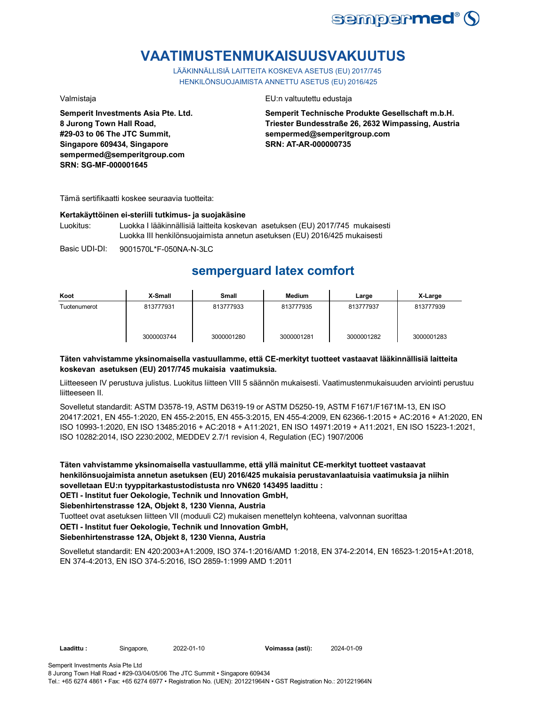

## **VAATIMUSTENMUKAISUUSVAKUUTUS**

LÄÄKINNÄLLISIÄ LAITTEITA KOSKEVA ASETUS (EU) 2017/745 HENKILÖNSUOJAIMISTA ANNETTU ASETUS (EU) 2016/425

**Semperit Investments Asia Pte. Ltd. 8 Jurong Town Hall Road, #29-03 to 06 The JTC Summit, Singapore 609434, Singapore sempermed@semperitgroup.com SRN: SG-MF-000001645**

### Valmistaja EU:n valtuutettu edustaja

**Semperit Technische Produkte Gesellschaft m.b.H. Triester Bundesstraße 26, 2632 Wimpassing, Austria sempermed@semperitgroup.com SRN: AT-AR-000000735**

Tämä sertifikaatti koskee seuraavia tuotteita:

#### **Kertakäyttöinen ei-steriili tutkimus- ja suojakäsine**

Luokitus: Luokka I lääkinnällisiä laitteita koskevan asetuksen (EU) 2017/745 mukaisesti Luokka III henkilönsuojaimista annetun asetuksen (EU) 2016/425 mukaisesti

Basic UDI-DI: 9001570L\*F-050NA-N-3LC 9001570L\*F-050NA-N-3L

## **semperguard latex comfort**

| Koot         | X-Small    | Small      | <b>Medium</b> | Large      | X-Large    |
|--------------|------------|------------|---------------|------------|------------|
| Tuotenumerot | 813777931  | 813777933  | 813777935     | 813777937  | 813777939  |
|              | 3000003744 | 3000001280 | 3000001281    | 3000001282 | 3000001283 |

### **Täten vahvistamme yksinomaisella vastuullamme, että CE-merkityt tuotteet vastaavat lääkinnällisiä laitteita koskevan asetuksen (EU) 2017/745 mukaisia vaatimuksia.**

Liitteeseen IV perustuva julistus. Luokitus liitteen VIII 5 säännön mukaisesti. Vaatimustenmukaisuuden arviointi perustuu liitteeseen II.

Sovelletut standardit: ASTM D3578-19, ASTM D6319-19 or ASTM D5250-19, ASTM F1671/F1671M-13, EN ISO 20417:2021, EN 455-1:2020, EN 455-2:2015, EN 455-3:2015, EN 455-4:2009, EN 62366-1:2015 + AC:2016 + A1:2020, EN ISO 10993-1:2020, EN ISO 13485:2016 + AC:2018 + A11:2021, EN ISO 14971:2019 + A11:2021, EN ISO 15223-1:2021, ISO 10282:2014, ISO 2230:2002, MEDDEV 2.7/1 revision 4, Regulation (EC) 1907/2006

**Täten vahvistamme yksinomaisella vastuullamme, että yllä mainitut CE-merkityt tuotteet vastaavat henkilönsuojaimista annetun asetuksen (EU) 2016/425 mukaisia perustavanlaatuisia vaatimuksia ja niihin sovelletaan EU:n tyyppitarkastustodistusta nro VN620 143495 laadittu : OETI - Institut fuer Oekologie, Technik und Innovation GmbH,** 

**Siebenhirtenstrasse 12A, Objekt 8, 1230 Vienna, Austria**

Tuotteet ovat asetuksen liitteen VII (moduuli C2) mukaisen menettelyn kohteena, valvonnan suorittaa

### **OETI - Institut fuer Oekologie, Technik und Innovation GmbH,**

### **Siebenhirtenstrasse 12A, Objekt 8, 1230 Vienna, Austria**

Sovelletut standardit: EN 420:2003+A1:2009, ISO 374-1:2016/AMD 1:2018, EN 374-2:2014, EN 16523-1:2015+A1:2018, EN 374-4:2013, EN ISO 374-5:2016, ISO 2859-1:1999 AMD 1:2011

**Laadittu :** Singapore, **Voimassa (asti):** 2022-01-10 2024-01-09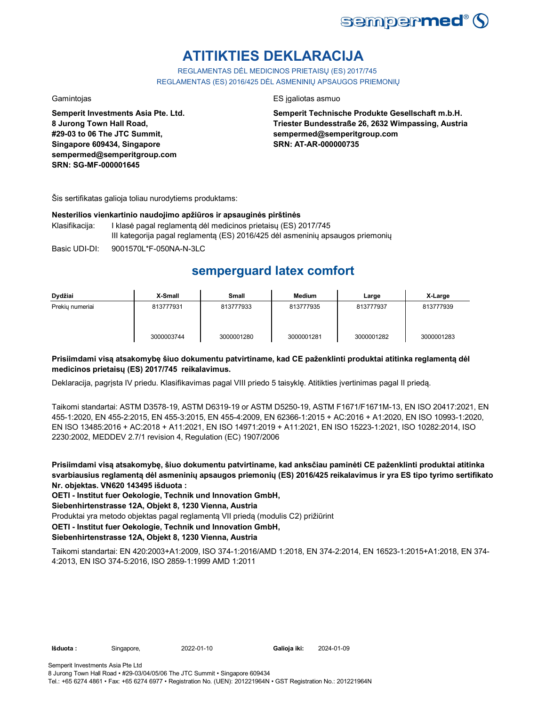

# **ATITIKTIES DEKLARACIJA**

REGLAMENTAS DĖL MEDICINOS PRIETAISŲ (ES) 2017/745 REGLAMENTAS (ES) 2016/425 DĖL ASMENINIŲ APSAUGOS PRIEMONIŲ

**Semperit Investments Asia Pte. Ltd. 8 Jurong Town Hall Road, #29-03 to 06 The JTC Summit, Singapore 609434, Singapore sempermed@semperitgroup.com SRN: SG-MF-000001645**

### Gamintojas ES įgaliotas asmuo

**Semperit Technische Produkte Gesellschaft m.b.H. Triester Bundesstraße 26, 2632 Wimpassing, Austria sempermed@semperitgroup.com SRN: AT-AR-000000735**

Šis sertifikatas galioja toliau nurodytiems produktams:

### **Nesterilios vienkartinio naudojimo apžiūros ir apsauginės pirštinės**

- Klasifikacija: I klasė pagal reglamentą dėl medicinos prietaisų (ES) 2017/745 III kategorija pagal reglamentą (ES) 2016/425 dėl asmeninių apsaugos priemonių
- Basic UDI-DI: 9001570L\*F-050NA-N-3LC 9001570L\*F-050NA-N-3L

## **semperguard latex comfort**

| Dydžiai         | X-Small    | <b>Small</b> | <b>Medium</b> | Large      | X-Large    |
|-----------------|------------|--------------|---------------|------------|------------|
| Prekiu numeriai | 813777931  | 813777933    | 813777935     | 813777937  | 813777939  |
|                 | 3000003744 | 3000001280   | 3000001281    | 3000001282 | 3000001283 |

### **Prisiimdami visą atsakomybę šiuo dokumentu patvirtiname, kad CE paženklinti produktai atitinka reglamentą dėl medicinos prietaisų (ES) 2017/745 reikalavimus.**

Deklaracija, pagrįsta IV priedu. Klasifikavimas pagal VIII priedo 5 taisyklę. Atitikties įvertinimas pagal II priedą.

Taikomi standartai: ASTM D3578-19, ASTM D6319-19 or ASTM D5250-19, ASTM F1671/F1671M-13, EN ISO 20417:2021, EN 455-1:2020, EN 455-2:2015, EN 455-3:2015, EN 455-4:2009, EN 62366-1:2015 + AC:2016 + A1:2020, EN ISO 10993-1:2020, EN ISO 13485:2016 + AC:2018 + A11:2021, EN ISO 14971:2019 + A11:2021, EN ISO 15223-1:2021, ISO 10282:2014, ISO 2230:2002, MEDDEV 2.7/1 revision 4, Regulation (EC) 1907/2006

**Prisiimdami visą atsakomybę, šiuo dokumentu patvirtiname, kad anksčiau paminėti CE paženklinti produktai atitinka svarbiausius reglamentą dėl asmeninių apsaugos priemonių (ES) 2016/425 reikalavimus ir yra ES tipo tyrimo sertifikato Nr. objektas. VN620 143495 išduota :**

**OETI - Institut fuer Oekologie, Technik und Innovation GmbH,** 

**Siebenhirtenstrasse 12A, Objekt 8, 1230 Vienna, Austria**

Produktai yra metodo objektas pagal reglamentą VII priedą (modulis C2) prižiūrint

**OETI - Institut fuer Oekologie, Technik und Innovation GmbH,** 

### **Siebenhirtenstrasse 12A, Objekt 8, 1230 Vienna, Austria**

Taikomi standartai: EN 420:2003+A1:2009, ISO 374-1:2016/AMD 1:2018, EN 374-2:2014, EN 16523-1:2015+A1:2018, EN 374- 4:2013, EN ISO 374-5:2016, ISO 2859-1:1999 AMD 1:2011

**Išduota :** Singapore, **Galioja iki:** 2022-01-10 2024-01-09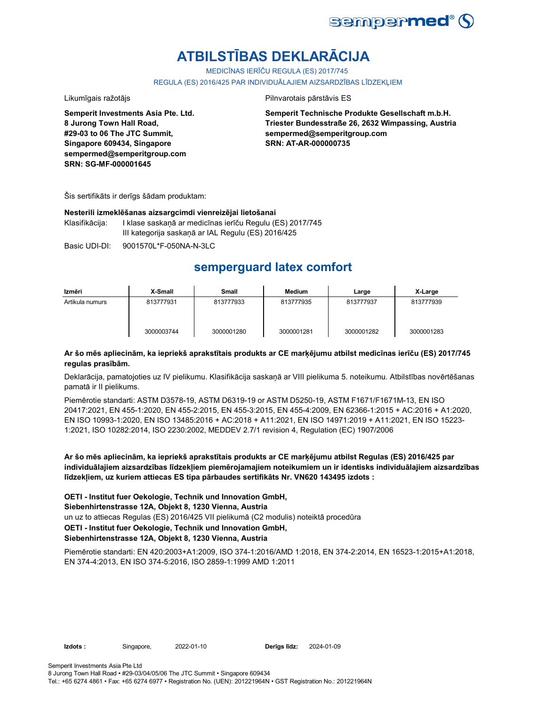

# **ATBILSTĪBAS DEKLARĀCIJA**

MEDICĪNAS IERĪČU REGULA (ES) 2017/745

REGULA (ES) 2016/425 PAR INDIVIDUĀLAJIEM AIZSARDZĪBAS LĪDZEKLIEM

Likumīgais ražotājs **Pilnvarotais pārstāvis ES** 

**Semperit Investments Asia Pte. Ltd. 8 Jurong Town Hall Road, #29-03 to 06 The JTC Summit, Singapore 609434, Singapore sempermed@semperitgroup.com SRN: SG-MF-000001645**

**Semperit Technische Produkte Gesellschaft m.b.H. Triester Bundesstraße 26, 2632 Wimpassing, Austria sempermed@semperitgroup.com SRN: AT-AR-000000735**

Šis sertifikāts ir derīgs šādam produktam:

### **Nesterili izmeklēšanas aizsargcimdi vienreizējai lietošanai**

Klasifikācija: I klase saskaņā ar medicīnas ierīču Regulu (ES) 2017/745 III kategorija saskaņā ar IAL Regulu (ES) 2016/425

Basic UDI-DI: 9001570L\*F-050NA-N-3LC 9001570L\*F-050NA-N-3L

## **semperguard latex comfort**

| Izmēri          | X-Small    | Small      | Medium     | Large      | X-Large    |
|-----------------|------------|------------|------------|------------|------------|
| Artikula numurs | 813777931  | 813777933  | 813777935  | 813777937  | 813777939  |
|                 | 3000003744 | 3000001280 | 3000001281 | 3000001282 | 3000001283 |

### **Ar šo mēs apliecinām, ka iepriekš aprakstītais produkts ar CE marķējumu atbilst medicīnas ierīču (ES) 2017/745 regulas prasībām.**

Deklarācija, pamatojoties uz IV pielikumu. Klasifikācija saskaņā ar VIII pielikuma 5. noteikumu. Atbilstības novērtēšanas pamatā ir II pielikums.

Piemērotie standarti: ASTM D3578-19, ASTM D6319-19 or ASTM D5250-19, ASTM F1671/F1671M-13, EN ISO 20417:2021, EN 455-1:2020, EN 455-2:2015, EN 455-3:2015, EN 455-4:2009, EN 62366-1:2015 + AC:2016 + A1:2020, EN ISO 10993-1:2020, EN ISO 13485:2016 + AC:2018 + A11:2021, EN ISO 14971:2019 + A11:2021, EN ISO 15223- 1:2021, ISO 10282:2014, ISO 2230:2002, MEDDEV 2.7/1 revision 4, Regulation (EC) 1907/2006

**Ar šo mēs apliecinām, ka iepriekš aprakstītais produkts ar CE marķējumu atbilst Regulas (ES) 2016/425 par individuālajiem aizsardzības līdzekļiem piemērojamajiem noteikumiem un ir identisks individuālajiem aizsardzības līdzekļiem, uz kuriem attiecas ES tipa pārbaudes sertifikāts Nr. VN620 143495 izdots :**

**OETI - Institut fuer Oekologie, Technik und Innovation GmbH,** 

### **Siebenhirtenstrasse 12A, Objekt 8, 1230 Vienna, Austria**

un uz to attiecas Regulas (ES) 2016/425 VII pielikumā (C2 modulis) noteiktā procedūra

### **OETI - Institut fuer Oekologie, Technik und Innovation GmbH,**

### **Siebenhirtenstrasse 12A, Objekt 8, 1230 Vienna, Austria**

Piemērotie standarti: EN 420:2003+A1:2009, ISO 374-1:2016/AMD 1:2018, EN 374-2:2014, EN 16523-1:2015+A1:2018, EN 374-4:2013, EN ISO 374-5:2016, ISO 2859-1:1999 AMD 1:2011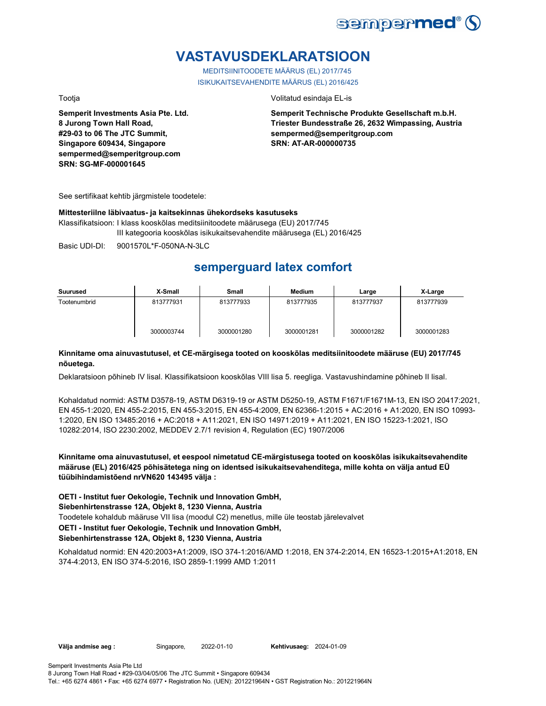

## **VASTAVUSDEKLARATSIOON**

MEDITSIINITOODETE MÄÄRUS (EL) 2017/745 ISIKUKAITSEVAHENDITE MÄÄRUS (EL) 2016/425

**Semperit Investments Asia Pte. Ltd. 8 Jurong Town Hall Road, #29-03 to 06 The JTC Summit, Singapore 609434, Singapore sempermed@semperitgroup.com SRN: SG-MF-000001645**

Tootja Volitatud esindaja EL-is

**Semperit Technische Produkte Gesellschaft m.b.H. Triester Bundesstraße 26, 2632 Wimpassing, Austria sempermed@semperitgroup.com SRN: AT-AR-000000735**

See sertifikaat kehtib järgmistele toodetele:

### **Mittesteriilne läbivaatus- ja kaitsekinnas ühekordseks kasutuseks**

Klassifikatsioon: I klass kooskõlas meditsiinitoodete määrusega (EU) 2017/745 III kategooria kooskõlas isikukaitsevahendite määrusega (EL) 2016/425

Basic UDI-DI: 9001570L\*F-050NA-N-3LC

## **semperguard latex comfort**

| Suurused     | X-Small    | Small      | Medium     | Large      | X-Large    |
|--------------|------------|------------|------------|------------|------------|
| Tootenumbrid | 813777931  | 813777933  | 813777935  | 813777937  | 813777939  |
|              | 3000003744 | 3000001280 | 3000001281 | 3000001282 | 3000001283 |

### **Kinnitame oma ainuvastutusel, et CE-märgisega tooted on kooskõlas meditsiinitoodete määruse (EU) 2017/745 nõuetega.**

Deklaratsioon põhineb IV lisal. Klassifikatsioon kooskõlas VIII lisa 5. reegliga. Vastavushindamine põhineb II lisal.

Kohaldatud normid: ASTM D3578-19, ASTM D6319-19 or ASTM D5250-19, ASTM F1671/F1671M-13, EN ISO 20417:2021, EN 455-1:2020, EN 455-2:2015, EN 455-3:2015, EN 455-4:2009, EN 62366-1:2015 + AC:2016 + A1:2020, EN ISO 10993- 1:2020, EN ISO 13485:2016 + AC:2018 + A11:2021, EN ISO 14971:2019 + A11:2021, EN ISO 15223-1:2021, ISO 10282:2014, ISO 2230:2002, MEDDEV 2.7/1 revision 4, Regulation (EC) 1907/2006

**Kinnitame oma ainuvastutusel, et eespool nimetatud CE-märgistusega tooted on kooskõlas isikukaitsevahendite määruse (EL) 2016/425 põhisätetega ning on identsed isikukaitsevahenditega, mille kohta on välja antud EÜ tüübihindamistõend nrVN620 143495 välja :**

**OETI - Institut fuer Oekologie, Technik und Innovation GmbH,** 

### **Siebenhirtenstrasse 12A, Objekt 8, 1230 Vienna, Austria**

Toodetele kohaldub määruse VII lisa (moodul C2) menetlus, mille üle teostab järelevalvet

### **OETI - Institut fuer Oekologie, Technik und Innovation GmbH,**

**Siebenhirtenstrasse 12A, Objekt 8, 1230 Vienna, Austria**

Kohaldatud normid: EN 420:2003+A1:2009, ISO 374-1:2016/AMD 1:2018, EN 374-2:2014, EN 16523-1:2015+A1:2018, EN 374-4:2013, EN ISO 374-5:2016, ISO 2859-1:1999 AMD 1:2011

Välja andmise aeg : Singapore, 2022-01-10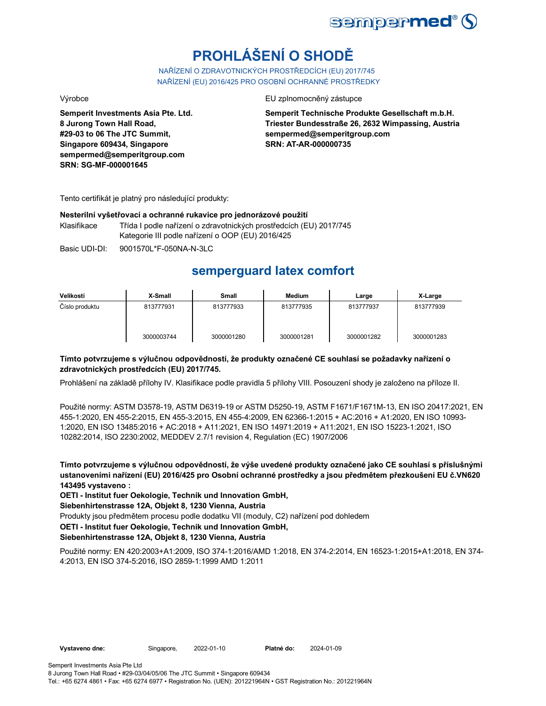

# **PROHLÁŠENÍ O SHODĚ**

NAŘÍZENÍ O ZDRAVOTNICKÝCH PROSTŘEDCÍCH (EU) 2017/745 NAŘÍZENÍ (EU) 2016/425 PRO OSOBNÍ OCHRANNÉ PROSTŘEDKY

**Semperit Investments Asia Pte. Ltd. 8 Jurong Town Hall Road, #29-03 to 06 The JTC Summit, Singapore 609434, Singapore sempermed@semperitgroup.com SRN: SG-MF-000001645**

Výrobce EU zplnomocněný zástupce

**Semperit Technische Produkte Gesellschaft m.b.H. Triester Bundesstraße 26, 2632 Wimpassing, Austria sempermed@semperitgroup.com SRN: AT-AR-000000735**

Tento certifikát je platný pro následující produkty:

### **Nesterilní vyšetřovací a ochranné rukavice pro jednorázové použití**

Klasifikace Třída I podle nařízení o zdravotnických prostředcích (EU) 2017/745 Kategorie III podle nařízení o OOP (EU) 2016/425

Basic UDI-DI: 9001570L\*F-050NA-N-3LC

### **semperguard latex comfort**

| Velikosti      | X-Small    | Small      | <b>Medium</b> | Large      | X-Large    |
|----------------|------------|------------|---------------|------------|------------|
| Číslo produktu | 813777931  | 813777933  | 813777935     | 813777937  | 813777939  |
|                | 3000003744 | 3000001280 | 3000001281    | 3000001282 | 3000001283 |

### **Tímto potvrzujeme s výlučnou odpovědností, že produkty označené CE souhlasí se požadavky nařízení o zdravotnických prostředcích (EU) 2017/745.**

Prohlášení na základě přílohy IV. Klasifikace podle pravidla 5 přílohy VIII. Posouzení shody je založeno na příloze II.

Použité normy: ASTM D3578-19, ASTM D6319-19 or ASTM D5250-19, ASTM F1671/F1671M-13, EN ISO 20417:2021, EN 455-1:2020, EN 455-2:2015, EN 455-3:2015, EN 455-4:2009, EN 62366-1:2015 + AC:2016 + A1:2020, EN ISO 10993- 1:2020, EN ISO 13485:2016 + AC:2018 + A11:2021, EN ISO 14971:2019 + A11:2021, EN ISO 15223-1:2021, ISO 10282:2014, ISO 2230:2002, MEDDEV 2.7/1 revision 4, Regulation (EC) 1907/2006

**Tímto potvrzujeme s výlučnou odpovědností, že výše uvedené produkty označené jako CE souhlasí s příslušnými ustanoveními nařízení (EU) 2016/425 pro Osobní ochranné prostředky a jsou předmětem přezkoušení EU č.VN620 143495 vystaveno :**

**OETI - Institut fuer Oekologie, Technik und Innovation GmbH,** 

**Siebenhirtenstrasse 12A, Objekt 8, 1230 Vienna, Austria**

Produkty jsou předmětem procesu podle dodatku VII (moduly, C2) nařízení pod dohledem

**OETI - Institut fuer Oekologie, Technik und Innovation GmbH,** 

### **Siebenhirtenstrasse 12A, Objekt 8, 1230 Vienna, Austria**

Použité normy: EN 420:2003+A1:2009, ISO 374-1:2016/AMD 1:2018, EN 374-2:2014, EN 16523-1:2015+A1:2018, EN 374- 4:2013, EN ISO 374-5:2016, ISO 2859-1:1999 AMD 1:2011

2024-01-09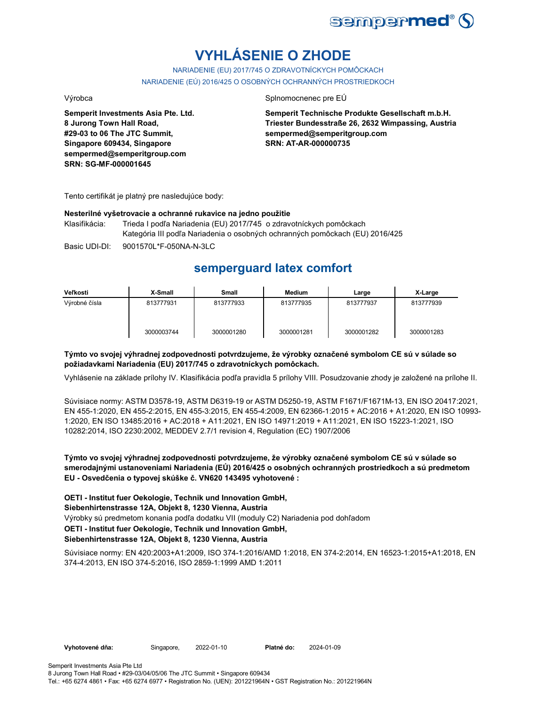

# **VYHLÁSENIE O ZHODE**

NARIADENIE (EU) 2017/745 O ZDRAVOTNÍCKYCH POMÔCKACH NARIADENIE (EÚ) 2016/425 O OSOBNÝCH OCHRANNÝCH PROSTRIEDKOCH

**Semperit Investments Asia Pte. Ltd. 8 Jurong Town Hall Road, #29-03 to 06 The JTC Summit, Singapore 609434, Singapore sempermed@semperitgroup.com SRN: SG-MF-000001645**

### Výrobca Splnomocnenec pre EÚ

**Semperit Technische Produkte Gesellschaft m.b.H. Triester Bundesstraße 26, 2632 Wimpassing, Austria sempermed@semperitgroup.com SRN: AT-AR-000000735**

Tento certifikát je platný pre nasledujúce body:

### **Nesterilné vyšetrovacie a ochranné rukavice na jedno použitie**

Klasifikácia: Trieda I podľa Nariadenia (EU) 2017/745 o zdravotníckych pomôckach Kategória III podľa Nariadenia o osobných ochranných pomôckach (EU) 2016/425

Basic UDI-DI: 9001570L\*F-050NA-N-3LC 9001570L\*F-050NA-N-3L

## **semperguard latex comfort**

| Veľkosti      | X-Small    | Small      | Medium     | Large      | X-Large    |
|---------------|------------|------------|------------|------------|------------|
| Výrobné čísla | 813777931  | 813777933  | 813777935  | 813777937  | 813777939  |
|               | 3000003744 | 3000001280 | 3000001281 | 3000001282 | 3000001283 |

### **Týmto vo svojej výhradnej zodpovednosti potvrdzujeme, že výrobky označené symbolom CE sú v súlade so požiadavkami Nariadenia (EU) 2017/745 o zdravotníckych pomôckach.**

Vyhlásenie na základe prílohy IV. Klasifikácia podľa pravidla 5 prílohy VIII. Posudzovanie zhody je založené na prílohe II.

Súvisiace normy: ASTM D3578-19, ASTM D6319-19 or ASTM D5250-19, ASTM F1671/F1671M-13, EN ISO 20417:2021, EN 455-1:2020, EN 455-2:2015, EN 455-3:2015, EN 455-4:2009, EN 62366-1:2015 + AC:2016 + A1:2020, EN ISO 10993- 1:2020, EN ISO 13485:2016 + AC:2018 + A11:2021, EN ISO 14971:2019 + A11:2021, EN ISO 15223-1:2021, ISO 10282:2014, ISO 2230:2002, MEDDEV 2.7/1 revision 4, Regulation (EC) 1907/2006

**Týmto vo svojej výhradnej zodpovednosti potvrdzujeme, že výrobky označené symbolom CE sú v súlade so smerodajnými ustanoveniami Nariadenia (EÚ) 2016/425 o osobných ochranných prostriedkoch a sú predmetom EU - Osvedčenia o typovej skúške č. VN620 143495 vyhotovené :**

Výrobky sú predmetom konania podľa dodatku VII (moduly C2) Nariadenia pod dohľadom **OETI - Institut fuer Oekologie, Technik und Innovation GmbH, Siebenhirtenstrasse 12A, Objekt 8, 1230 Vienna, Austria OETI - Institut fuer Oekologie, Technik und Innovation GmbH, Siebenhirtenstrasse 12A, Objekt 8, 1230 Vienna, Austria**

Súvisiace normy: EN 420:2003+A1:2009, ISO 374-1:2016/AMD 1:2018, EN 374-2:2014, EN 16523-1:2015+A1:2018, EN 374-4:2013, EN ISO 374-5:2016, ISO 2859-1:1999 AMD 1:2011

**Vyhotovené dňa:** Singapore, 2022-01-10

Platné do: 2024-01-09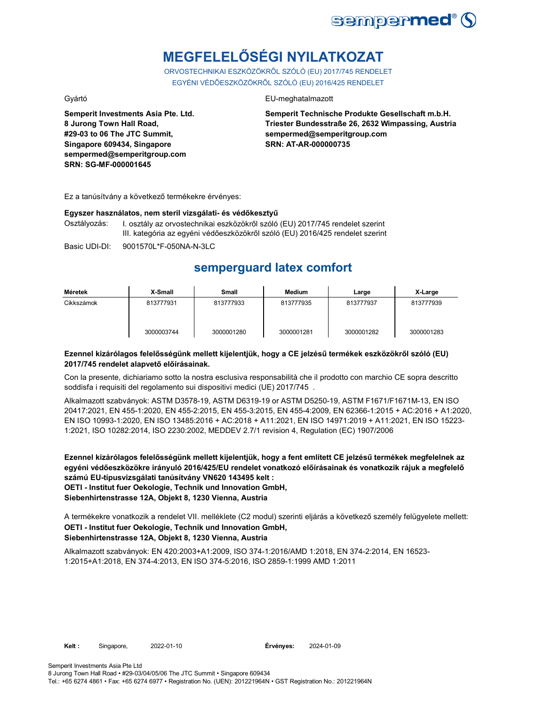

# **MEGFELELŐSÉGI NYILATKOZAT**

ORVOSTECHNIKAI ESZKÖZÖKRŐL SZÓLÓ (EU) 2017/745 RENDELET EGYÉNI VÉDŐESZKÖZÖKRŐL SZÓLÓ (EU) 2016/425 RENDELET

**Semperit Investments Asia Pte. Ltd. 8 Jurong Town Hall Road, #29-03 to 06 The JTC Summit, Singapore 609434, Singapore sempermed@semperitgroup.com SRN: SG-MF-000001645**

### Gyártó EU-meghatalmazott

**Semperit Technische Produkte Gesellschaft m.b.H. Triester Bundesstraße 26, 2632 Wimpassing, Austria sempermed@semperitgroup.com SRN: AT-AR-000000735**

Ez a tanúsítvány a következő termékekre érvényes:

### **Egyszer használatos, nem steril vizsgálati- és védőkesztyű**

Osztályozás: I. osztály az orvostechnikai eszközökről szóló (EU) 2017/745 rendelet szerint III. kategória az egyéni védőeszközökről szóló (EU) 2016/425 rendelet szerint

Basic UDI-DI: 9001570L\*F-050NA-N-3LC 9001570L\*F-050NA-N-3L

## **semperguard latex comfort**

| Méretek    | X-Small    | Small      | Medium     | Large      | X-Large    |
|------------|------------|------------|------------|------------|------------|
| Cikkszámok | 813777931  | 813777933  | 813777935  | 813777937  | 813777939  |
|            | 3000003744 | 3000001280 | 3000001281 | 3000001282 | 3000001283 |

### **Ezennel kizárólagos felelősségünk mellett kijelentjük, hogy a CE jelzésű termékek eszközökről szóló (EU) 2017/745 rendelet alapvető előírásainak.**

Con la presente, dichiariamo sotto la nostra esclusiva responsabilità che il prodotto con marchio CE sopra descritto soddisfa i requisiti del regolamento sui dispositivi medici (UE) 2017/745 .

Alkalmazott szabványok: ASTM D3578-19, ASTM D6319-19 or ASTM D5250-19, ASTM F1671/F1671M-13, EN ISO 20417:2021, EN 455-1:2020, EN 455-2:2015, EN 455-3:2015, EN 455-4:2009, EN 62366-1:2015 + AC:2016 + A1:2020, EN ISO 10993-1:2020, EN ISO 13485:2016 + AC:2018 + A11:2021, EN ISO 14971:2019 + A11:2021, EN ISO 15223- 1:2021, ISO 10282:2014, ISO 2230:2002, MEDDEV 2.7/1 revision 4, Regulation (EC) 1907/2006

**Ezennel kizárólagos felelősségünk mellett kijelentjük, hogy a fent említett CE jelzésű termékek megfelelnek az egyéni védőeszközökre irányuló 2016/425/EU rendelet vonatkozó előírásainak és vonatkozik rájuk a megfelelő számú EU-típusvizsgálati tanúsítvány VN620 143495 kelt : OETI - Institut fuer Oekologie, Technik und Innovation GmbH,** 

**Siebenhirtenstrasse 12A, Objekt 8, 1230 Vienna, Austria**

A termékekre vonatkozik a rendelet VII. melléklete (C2 modul) szerinti eljárás a következő személy felügyelete mellett: **OETI - Institut fuer Oekologie, Technik und Innovation GmbH, Siebenhirtenstrasse 12A, Objekt 8, 1230 Vienna, Austria**

Alkalmazott szabványok: EN 420:2003+A1:2009, ISO 374-1:2016/AMD 1:2018, EN 374-2:2014, EN 16523- 1:2015+A1:2018, EN 374-4:2013, EN ISO 374-5:2016, ISO 2859-1:1999 AMD 1:2011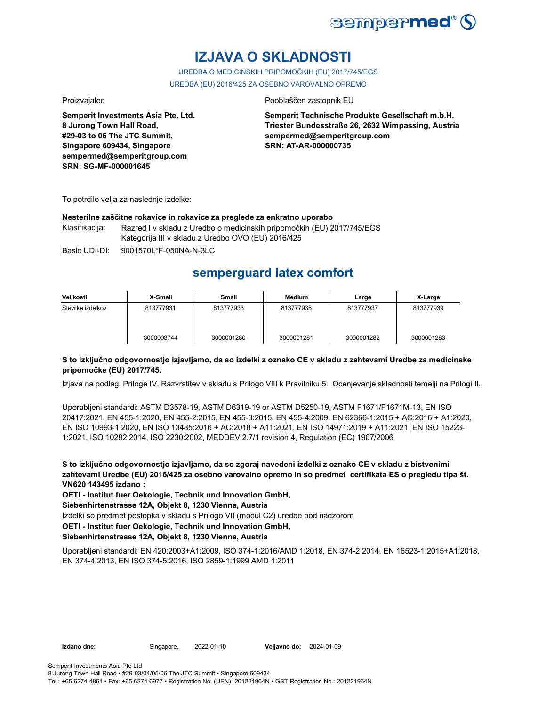

## **IZJAVA O SKLADNOSTI**

UREDBA O MEDICINSKIH PRIPOMOČKIH (EU) 2017/745/EGS UREDBA (EU) 2016/425 ZA OSEBNO VAROVALNO OPREMO

**Semperit Investments Asia Pte. Ltd. 8 Jurong Town Hall Road, #29-03 to 06 The JTC Summit, Singapore 609434, Singapore sempermed@semperitgroup.com SRN: SG-MF-000001645**

### Proizvajalec Pooblaščen zastopnik EU

**Semperit Technische Produkte Gesellschaft m.b.H. Triester Bundesstraße 26, 2632 Wimpassing, Austria sempermed@semperitgroup.com SRN: AT-AR-000000735**

To potrdilo velja za naslednje izdelke:

### **Nesterilne zaščitne rokavice in rokavice za preglede za enkratno uporabo**

Klasifikacija: Razred I v skladu z Uredbo o medicinskih pripomočkih (EU) 2017/745/EGS Kategorija III v skladu z Uredbo OVO (EU) 2016/425

Basic UDI-DI: 9001570L\*F-050NA-N-3LC 9001570L\*F-050NA-N-3L

### **semperguard latex comfort**

| Velikosti         | X-Small    | <b>Small</b> | Medium     | Large      | X-Large    |
|-------------------|------------|--------------|------------|------------|------------|
| Stevilke izdelkov | 813777931  | 813777933    | 813777935  | 813777937  | 813777939  |
|                   | 3000003744 | 3000001280   | 3000001281 | 3000001282 | 3000001283 |

### **S to izključno odgovornostjo izjavljamo, da so izdelki z oznako CE v skladu z zahtevami Uredbe za medicinske pripomočke (EU) 2017/745.**

Izjava na podlagi Priloge IV. Razvrstitev v skladu s Prilogo VIII k Pravilniku 5. Ocenjevanje skladnosti temelji na Prilogi II.

Uporabljeni standardi: ASTM D3578-19, ASTM D6319-19 or ASTM D5250-19, ASTM F1671/F1671M-13, EN ISO 20417:2021, EN 455-1:2020, EN 455-2:2015, EN 455-3:2015, EN 455-4:2009, EN 62366-1:2015 + AC:2016 + A1:2020, EN ISO 10993-1:2020, EN ISO 13485:2016 + AC:2018 + A11:2021, EN ISO 14971:2019 + A11:2021, EN ISO 15223- 1:2021, ISO 10282:2014, ISO 2230:2002, MEDDEV 2.7/1 revision 4, Regulation (EC) 1907/2006

**S to izključno odgovornostjo izjavljamo, da so zgoraj navedeni izdelki z oznako CE v skladu z bistvenimi zahtevami Uredbe (EU) 2016/425 za osebno varovalno opremo in so predmet certifikata ES o pregledu tipa št. VN620 143495 izdano :**

**OETI - Institut fuer Oekologie, Technik und Innovation GmbH,** 

**Siebenhirtenstrasse 12A, Objekt 8, 1230 Vienna, Austria**

Izdelki so predmet postopka v skladu s Prilogo VII (modul C2) uredbe pod nadzorom

**OETI - Institut fuer Oekologie, Technik und Innovation GmbH,** 

### **Siebenhirtenstrasse 12A, Objekt 8, 1230 Vienna, Austria**

Uporabljeni standardi: EN 420:2003+A1:2009, ISO 374-1:2016/AMD 1:2018, EN 374-2:2014, EN 16523-1:2015+A1:2018, EN 374-4:2013, EN ISO 374-5:2016, ISO 2859-1:1999 AMD 1:2011

**Izdano dne:** Singapore, 2022-01-10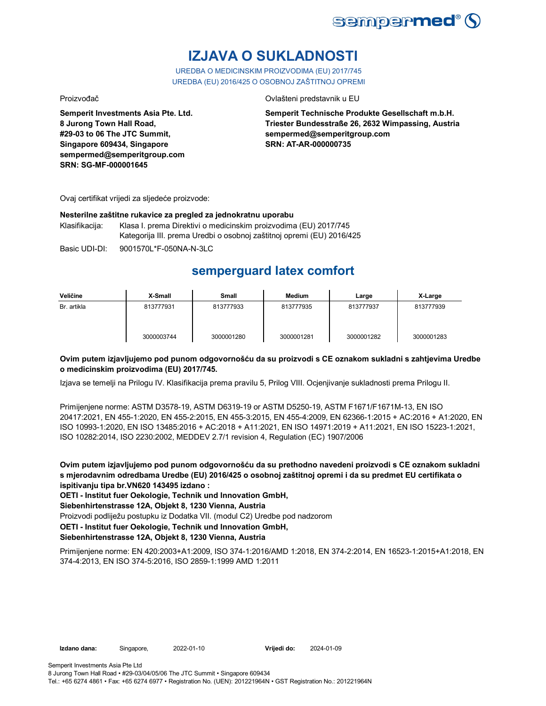

## **IZJAVA O SUKLADNOSTI**

UREDBA O MEDICINSKIM PROIZVODIMA (EU) 2017/745 UREDBA (EU) 2016/425 O OSOBNOJ ZAŠTITNOJ OPREMI

Proizvođač Ovlašteni predstavnik u EU

**Semperit Investments Asia Pte. Ltd. 8 Jurong Town Hall Road, #29-03 to 06 The JTC Summit, Singapore 609434, Singapore sempermed@semperitgroup.com SRN: SG-MF-000001645**

**Semperit Technische Produkte Gesellschaft m.b.H. Triester Bundesstraße 26, 2632 Wimpassing, Austria sempermed@semperitgroup.com SRN: AT-AR-000000735**

Ovaj certifikat vrijedi za sljedeće proizvode:

### **Nesterilne zaštitne rukavice za pregled za jednokratnu uporabu**

Klasifikacija: Klasa I. prema Direktivi o medicinskim proizvodima (EU) 2017/745 Kategorija III. prema Uredbi o osobnoj zaštitnoj opremi (EU) 2016/425

Basic UDI-DI: 9001570L\*F-050NA-N-3LC

## **semperguard latex comfort**

| Veličine    | X-Small    | Small      | <b>Medium</b> | Large      | X-Large    |
|-------------|------------|------------|---------------|------------|------------|
| Br. artikla | 813777931  | 813777933  | 813777935     | 813777937  | 813777939  |
|             | 3000003744 | 3000001280 | 3000001281    | 3000001282 | 3000001283 |

### **Ovim putem izjavljujemo pod punom odgovornošću da su proizvodi s CE oznakom sukladni s zahtjevima Uredbe o medicinskim proizvodima (EU) 2017/745.**

Izjava se temelji na Prilogu IV. Klasifikacija prema pravilu 5, Prilog VIII. Ocjenjivanje sukladnosti prema Prilogu II.

Primijenjene norme: ASTM D3578-19, ASTM D6319-19 or ASTM D5250-19, ASTM F1671/F1671M-13, EN ISO 20417:2021, EN 455-1:2020, EN 455-2:2015, EN 455-3:2015, EN 455-4:2009, EN 62366-1:2015 + AC:2016 + A1:2020, EN ISO 10993-1:2020, EN ISO 13485:2016 + AC:2018 + A11:2021, EN ISO 14971:2019 + A11:2021, EN ISO 15223-1:2021, ISO 10282:2014, ISO 2230:2002, MEDDEV 2.7/1 revision 4, Regulation (EC) 1907/2006

**Ovim putem izjavljujemo pod punom odgovornošću da su prethodno navedeni proizvodi s CE oznakom sukladni s mjerodavnim odredbama Uredbe (EU) 2016/425 o osobnoj zaštitnoj opremi i da su predmet EU certifikata o ispitivanju tipa br.VN620 143495 izdano :**

**OETI - Institut fuer Oekologie, Technik und Innovation GmbH,** 

**Siebenhirtenstrasse 12A, Objekt 8, 1230 Vienna, Austria**

Proizvodi podliježu postupku iz Dodatka VII. (modul C2) Uredbe pod nadzorom

**OETI - Institut fuer Oekologie, Technik und Innovation GmbH,** 

### **Siebenhirtenstrasse 12A, Objekt 8, 1230 Vienna, Austria**

Primijenjene norme: EN 420:2003+A1:2009, ISO 374-1:2016/AMD 1:2018, EN 374-2:2014, EN 16523-1:2015+A1:2018, EN 374-4:2013, EN ISO 374-5:2016, ISO 2859-1:1999 AMD 1:2011

**Vrijedi do:** 2024-01-09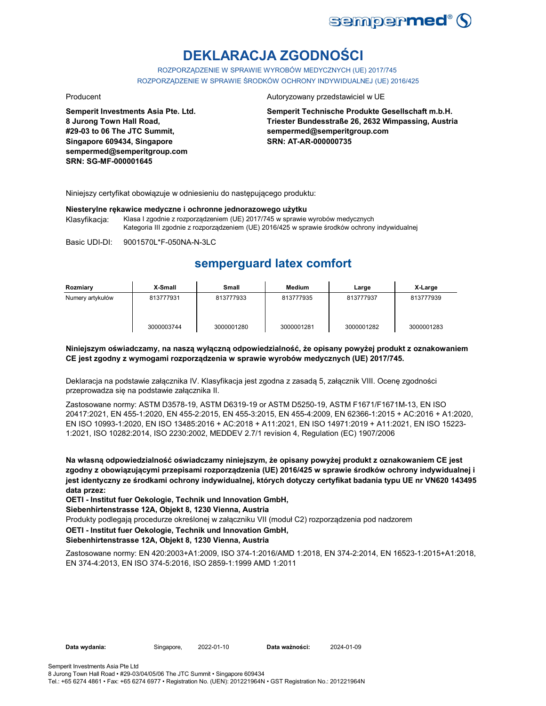

# **DEKLARACJA ZGODNOŚCI**

ROZPORZĄDZENIE W SPRAWIE WYROBÓW MEDYCZNYCH (UE) 2017/745 ROZPORZĄDZENIE W SPRAWIE ŚRODKÓW OCHRONY INDYWIDUALNEJ (UE) 2016/425

**Semperit Investments Asia Pte. Ltd. 8 Jurong Town Hall Road, #29-03 to 06 The JTC Summit, Singapore 609434, Singapore sempermed@semperitgroup.com SRN: SG-MF-000001645**

#### Producent **Autoryzowany przedstawiciel w UE**

**Semperit Technische Produkte Gesellschaft m.b.H. Triester Bundesstraße 26, 2632 Wimpassing, Austria sempermed@semperitgroup.com SRN: AT-AR-000000735**

Niniejszy certyfikat obowiązuje w odniesieniu do następującego produktu:

#### **Niesterylne rękawice medyczne i ochronne jednorazowego użytku**

Klasyfikacja: Klasa I zgodnie z rozporządzeniem (UE) 2017/745 w sprawie wyrobów medycznych Kategoria III zgodnie z rozporządzeniem (UE) 2016/425 w sprawie środków ochrony indywidualnej

Basic UDI-DI: 9001570L\*F-050NA-N-3LC

### **semperguard latex comfort**

| Rozmiary         | X-Small    | Small      | Medium     | Large      | X-Large    |
|------------------|------------|------------|------------|------------|------------|
| Numery artykułów | 813777931  | 813777933  | 813777935  | 813777937  | 813777939  |
|                  | 3000003744 | 3000001280 | 3000001281 | 3000001282 | 3000001283 |

### **Niniejszym oświadczamy, na naszą wyłączną odpowiedzialność, że opisany powyżej produkt z oznakowaniem CE jest zgodny z wymogami rozporządzenia w sprawie wyrobów medycznych (UE) 2017/745.**

Deklaracja na podstawie załącznika IV. Klasyfikacja jest zgodna z zasadą 5, załącznik VIII. Ocenę zgodności przeprowadza się na podstawie załącznika II.

Zastosowane normy: ASTM D3578-19, ASTM D6319-19 or ASTM D5250-19, ASTM F1671/F1671M-13, EN ISO 20417:2021, EN 455-1:2020, EN 455-2:2015, EN 455-3:2015, EN 455-4:2009, EN 62366-1:2015 + AC:2016 + A1:2020, EN ISO 10993-1:2020, EN ISO 13485:2016 + AC:2018 + A11:2021, EN ISO 14971:2019 + A11:2021, EN ISO 15223- 1:2021, ISO 10282:2014, ISO 2230:2002, MEDDEV 2.7/1 revision 4, Regulation (EC) 1907/2006

**Na własną odpowiedzialność oświadczamy niniejszym, że opisany powyżej produkt z oznakowaniem CE jest zgodny z obowiązującymi przepisami rozporządzenia (UE) 2016/425 w sprawie środków ochrony indywidualnej i jest identyczny ze środkami ochrony indywidualnej, których dotyczy certyfikat badania typu UE nr VN620 143495 data przez:**

**OETI - Institut fuer Oekologie, Technik und Innovation GmbH,** 

**Siebenhirtenstrasse 12A, Objekt 8, 1230 Vienna, Austria**

Produkty podlegają procedurze określonej w załączniku VII (moduł C2) rozporządzenia pod nadzorem

### **OETI - Institut fuer Oekologie, Technik und Innovation GmbH,**

### **Siebenhirtenstrasse 12A, Objekt 8, 1230 Vienna, Austria**

Zastosowane normy: EN 420:2003+A1:2009, ISO 374-1:2016/AMD 1:2018, EN 374-2:2014, EN 16523-1:2015+A1:2018, EN 374-4:2013, EN ISO 374-5:2016, ISO 2859-1:1999 AMD 1:2011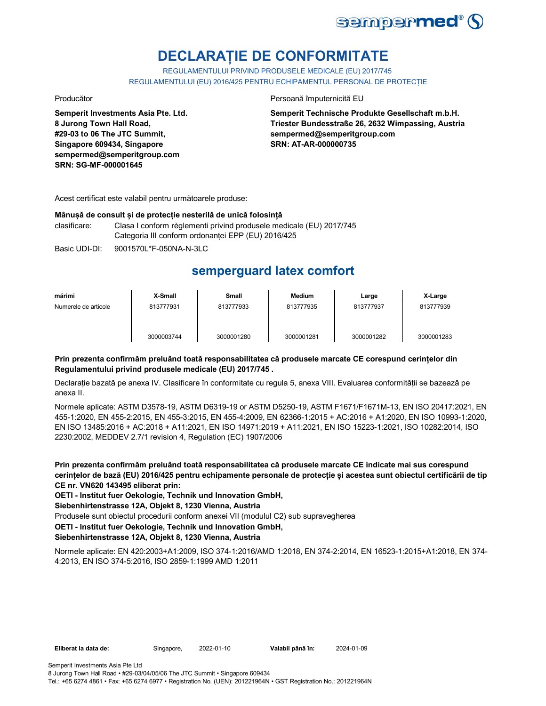

## **DECLARAȚIE DE CONFORMITATE**

REGULAMENTULUI PRIVIND PRODUSELE MEDICALE (EU) 2017/745 REGULAMENTULUI (EU) 2016/425 PENTRU ECHIPAMENTUL PERSONAL DE PROTECȚIE

**Semperit Investments Asia Pte. Ltd. 8 Jurong Town Hall Road, #29-03 to 06 The JTC Summit, Singapore 609434, Singapore sempermed@semperitgroup.com SRN: SG-MF-000001645**

Producător **Producător** Persoană împuternicită EU

**Semperit Technische Produkte Gesellschaft m.b.H. Triester Bundesstraße 26, 2632 Wimpassing, Austria sempermed@semperitgroup.com SRN: AT-AR-000000735**

Acest certificat este valabil pentru următoarele produse:

### **Mânușă de consult și de protecție nesterilă de unică folosință**

clasificare: Clasa I conform règlementi privind produsele medicale (EU) 2017/745 Categoria III conform ordonanței EPP (EU) 2016/425

Basic UDI-DI: 9001570L\*F-050NA-N-3LC 9001570L\*F-050NA-N-3L

## **semperguard latex comfort**

| mărimi               | X-Small    | <b>Small</b> | Medium     | Large      | X-Large    |
|----------------------|------------|--------------|------------|------------|------------|
| Numerele de articole | 813777931  | 813777933    | 813777935  | 813777937  | 813777939  |
|                      | 3000003744 | 3000001280   | 3000001281 | 3000001282 | 3000001283 |

### **Prin prezenta confirmăm preluând toată responsabilitatea că produsele marcate CE corespund cerințelor din Regulamentului privind produsele medicale (EU) 2017/745 .**

Declarație bazată pe anexa IV. Clasificare în conformitate cu regula 5, anexa VIII. Evaluarea conformității se bazează pe anexa II.

Normele aplicate: ASTM D3578-19, ASTM D6319-19 or ASTM D5250-19, ASTM F1671/F1671M-13, EN ISO 20417:2021, EN 455-1:2020, EN 455-2:2015, EN 455-3:2015, EN 455-4:2009, EN 62366-1:2015 + AC:2016 + A1:2020, EN ISO 10993-1:2020, EN ISO 13485:2016 + AC:2018 + A11:2021, EN ISO 14971:2019 + A11:2021, EN ISO 15223-1:2021, ISO 10282:2014, ISO 2230:2002, MEDDEV 2.7/1 revision 4, Regulation (EC) 1907/2006

**Prin prezenta confirmăm preluând toată responsabilitatea că produsele marcate CE indicate mai sus corespund cerințelor de bază (EU) 2016/425 pentru echipamente personale de protecție și acestea sunt obiectul certificării de tip CE nr. VN620 143495 eliberat prin:**

**OETI - Institut fuer Oekologie, Technik und Innovation GmbH,** 

**Siebenhirtenstrasse 12A, Objekt 8, 1230 Vienna, Austria**

Produsele sunt obiectul procedurii conform anexei VII (modulul C2) sub supravegherea

**OETI - Institut fuer Oekologie, Technik und Innovation GmbH,** 

### **Siebenhirtenstrasse 12A, Objekt 8, 1230 Vienna, Austria**

Normele aplicate: EN 420:2003+A1:2009, ISO 374-1:2016/AMD 1:2018, EN 374-2:2014, EN 16523-1:2015+A1:2018, EN 374- 4:2013, EN ISO 374-5:2016, ISO 2859-1:1999 AMD 1:2011

**Eliberat la data de:** Singapore, **Valabil până în:** 2022-01-10 2024-01-09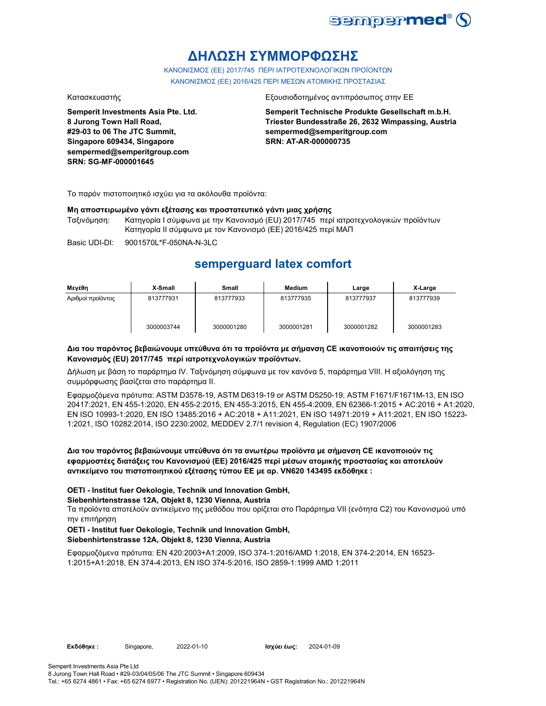

## **ΔΗΛΩΣΗ ΣΥΜΜΟΡΦΩΣΗΣ**

ΚΑΝΟΝΙΣΜΟΣ (EE) 2017/745 ΠΕΡΙ ΙΑΤΡΟΤΕΧΝΟΛΟΓΙΚΩΝ ΠΡΟΪΟΝΤΩΝ ΚΑΝΟΝΙΣΜΟΣ (ΕΕ) 2016/425 ΠΕΡΙ ΜΕΣΩΝ ΑΤΟΜΙΚΗΣ ΠΡΟΣΤΑΣΙΑΣ

**Semperit Investments Asia Pte. Ltd. 8 Jurong Town Hall Road, #29-03 to 06 The JTC Summit, Singapore 609434, Singapore sempermed@semperitgroup.com SRN: SG-MF-000001645**

### Κατασκευαστής Εξουσιοδοτημένος αντιπρόσωπος στην ΕΕ

**Semperit Technische Produkte Gesellschaft m.b.H. Triester Bundesstraße 26, 2632 Wimpassing, Austria sempermed@semperitgroup.com SRN: AT-AR-000000735**

Το παρόν πιστοποιητικό ισχύει για τα ακόλουθα προϊόντα:

### **Μη αποστειρωμένο γάντι εξέτασης και προστατευτικό γάντι μιας χρήσης**

Ταξινόμηση: Κατηγορία I σύμφωνα με την Κανονισμό (EU) 2017/745 περί ιατροτεχνολογικών προϊόντων Κατηγορία II σύμφωνα με τον Κανονισμό (ΕΕ) 2016/425 περί ΜΑΠ

Basic UDI-DI: 9001570L\*F-050NA-N-3LC

## **semperguard latex comfort**

| Μενέθη            | X-Small    | <b>Small</b> | <b>Medium</b> | Large      | X-Large    |
|-------------------|------------|--------------|---------------|------------|------------|
| Αριθμοί προϊόντος | 813777931  | 813777933    | 813777935     | 813777937  | 813777939  |
|                   | 3000003744 | 3000001280   | 3000001281    | 3000001282 | 3000001283 |

### **Δια του παρόντος βεβαιώνουμε υπεύθυνα ότι τα προϊόντα με σήμανση CE ικανοποιούν τις απαιτήσεις της Κανονισμός (EU) 2017/745 περί ιατροτεχνολογικών προϊόντων.**

Δήλωση με βάση το παράρτημα IV. Ταξινόμηση σύμφωνα με τον κανόνα 5, παράρτημα VIII. Η αξιολόγηση της συμμόρφωσης βασίζεται στο παράρτημα II.

Εφαρμοζόμενα πρότυπα: ASTM D3578-19, ASTM D6319-19 or ASTM D5250-19, ASTM F1671/F1671M-13, EN ISO 20417:2021, EN 455-1:2020, EN 455-2:2015, EN 455-3:2015, EN 455-4:2009, EN 62366-1:2015 + AC:2016 + A1:2020, EN ISO 10993-1:2020, EN ISO 13485:2016 + AC:2018 + A11:2021, EN ISO 14971:2019 + A11:2021, EN ISO 15223- 1:2021, ISO 10282:2014, ISO 2230:2002, MEDDEV 2.7/1 revision 4, Regulation (EC) 1907/2006

### **Δια του παρόντος βεβαιώνουμε υπεύθυνα ότι τα ανωτέρω προϊόντα με σήμανση CE ικανοποιούν τις εφαρμοστέες διατάξεις του Κανονισμού (ΕΕ) 2016/425 περί μέσων ατομικής προστασίας και αποτελούν αντικείμενο του πιστοποιητικού εξέτασης τύπου ΕΕ με αρ. VN620 143495 εκδόθηκε :**

### **OETI - Institut fuer Oekologie, Technik und Innovation GmbH,**

### **Siebenhirtenstrasse 12A, Objekt 8, 1230 Vienna, Austria**

Τα προϊόντα αποτελούν αντικείμενο της μεθόδου που ορίζεται στο Παράρτημα VII (ενότητα C2) του Κανονισμού υπό την επιτήρηση

### **OETI - Institut fuer Oekologie, Technik und Innovation GmbH, Siebenhirtenstrasse 12A, Objekt 8, 1230 Vienna, Austria**

Εφαρμοζόμενα πρότυπα: EN 420:2003+A1:2009, ISO 374-1:2016/AMD 1:2018, EN 374-2:2014, EN 16523- 1:2015+A1:2018, EN 374-4:2013, EN ISO 374-5:2016, ISO 2859-1:1999 AMD 1:2011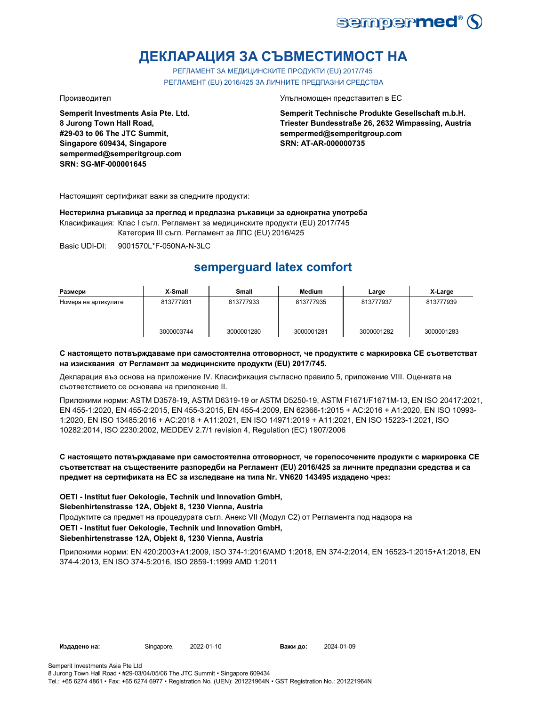

## **ДЕКЛАРАЦИЯ ЗА СЪВМЕСТИМОСТ НА**

РЕГЛАМЕНТ ЗА МЕДИЦИНСКИТЕ ПРОДУКТИ (EU) 2017/745 РЕГЛАМЕНТ (EU) 2016/425 ЗА ЛИЧНИТЕ ПРЕДПАЗНИ СРЕДСТВА

**Semperit Investments Asia Pte. Ltd. 8 Jurong Town Hall Road, #29-03 to 06 The JTC Summit, Singapore 609434, Singapore sempermed@semperitgroup.com SRN: SG-MF-000001645**

Производител Упълномощен представител в ЕС

**Semperit Technische Produkte Gesellschaft m.b.H. Triester Bundesstraße 26, 2632 Wimpassing, Austria sempermed@semperitgroup.com SRN: AT-AR-000000735**

Настоящият сертификат важи за следните продукти:

### **Нестерилна ръкавица за преглед и предпазна ръкавици за еднократна употреба**

Класификация: Клас I съгл. Регламент за медицинските продукти (EU) 2017/745

Категория III съгл. Регламент за ЛПС (EU) 2016/425

Basic UDI-DI: 9001570L\*F-050NA-N-3LC 9001570L\*F-050NA-N-

## **semperguard latex comfort**

| Размери              | X-Small    | Small      | <b>Medium</b> | Large      | X-Large    |
|----------------------|------------|------------|---------------|------------|------------|
| Номера на артикулите | 813777931  | 813777933  | 813777935     | 813777937  | 813777939  |
|                      | 3000003744 | 3000001280 | 3000001281    | 3000001282 | 3000001283 |

### **С настоящето потвърждаваме при самостоятелна отговорност, че продуктите с маркировка СЕ съответстват на изисквания от Регламент за медицинските продукти (EU) 2017/745.**

Декларация въз основа на приложение IV. Класификация съгласно правило 5, приложение VIII. Оценката на съответствието се основава на приложение II.

Приложими норми: ASTM D3578-19, ASTM D6319-19 or ASTM D5250-19, ASTM F1671/F1671M-13, EN ISO 20417:2021, EN 455-1:2020, EN 455-2:2015, EN 455-3:2015, EN 455-4:2009, EN 62366-1:2015 + AC:2016 + A1:2020, EN ISO 10993- 1:2020, EN ISO 13485:2016 + AC:2018 + A11:2021, EN ISO 14971:2019 + A11:2021, EN ISO 15223-1:2021, ISO 10282:2014, ISO 2230:2002, MEDDEV 2.7/1 revision 4, Regulation (EC) 1907/2006

### **С настоящето потвърждаваме при самостоятелна отговорност, че горепосочените продукти с маркировка СЕ съответстват на съществените разпоредби на Регламент (EU) 2016/425 за личните предпазни средства и са предмет на сертификата на ЕС за изследване на типа Nr. VN620 143495 издадено чрез:**

**OETI - Institut fuer Oekologie, Technik und Innovation GmbH,** 

### **Siebenhirtenstrasse 12A, Objekt 8, 1230 Vienna, Austria**

Продуктите са предмет на процедурата съгл. Анекс VII (Модул С2) от Регламента под надзора на

### **OETI - Institut fuer Oekologie, Technik und Innovation GmbH,**

### **Siebenhirtenstrasse 12A, Objekt 8, 1230 Vienna, Austria**

Приложими норми: EN 420:2003+A1:2009, ISO 374-1:2016/AMD 1:2018, EN 374-2:2014, EN 16523-1:2015+A1:2018, EN 374-4:2013, EN ISO 374-5:2016, ISO 2859-1:1999 AMD 1:2011

**Издадено на:** Singapore, **Важи до:**

2024-01-09